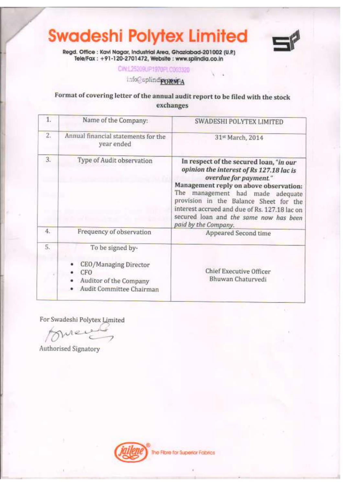

Regd. Office : Kavi Nagar, Industrial Area, Ghazlabad-201002 (U.P.)<br>Tele/Fax : +91-120-2701472, Website : www.splindia.co.in

CIN.1.25209UP1970FLC003320

info@uplindivorwPA

## Format of covering letter of the annual audit report to be filed with the stock exchanges

| $\mathbf{1}$                          | Name of the Company:                                                                                   | SWADESHI POLYTEX LIMITED                                                                                                                                                                                                                                                                                                                                |  |
|---------------------------------------|--------------------------------------------------------------------------------------------------------|---------------------------------------------------------------------------------------------------------------------------------------------------------------------------------------------------------------------------------------------------------------------------------------------------------------------------------------------------------|--|
| 2.7                                   | Annual financial statements for the<br>year ended                                                      | 31st March, 2014                                                                                                                                                                                                                                                                                                                                        |  |
| 3.<br>Type of Audit observation<br>4. |                                                                                                        | In respect of the secured loan, "in our<br>opinion the interest of Rs 127.18 lac is<br>overdue for payment."<br>Management reply on above observation:<br>The management had made adequate<br>provision in the Balance Sheet for the<br>interest accrued and due of Rs. 127.18 lac on<br>secured loan and the same now has been<br>paid by the Company. |  |
|                                       | Frequency of observation                                                                               | Appeared Second time                                                                                                                                                                                                                                                                                                                                    |  |
| 5.                                    | To be signed by-<br>CEO/Managing Director<br>CFO<br>Auditor of the Company<br>Audit Committee Chairman | Chief Executive Officer<br>Bhuwan Chaturvedi                                                                                                                                                                                                                                                                                                            |  |

For Swadeshi Polytex Limited

mei

Authorised Signatory

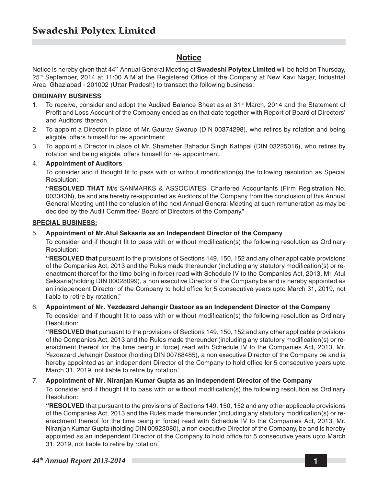### **Notice**

Notice is hereby given that 44th Annual General Meeting of **Swadeshi Polytex Limited** will be held on Thursday, 25th September, 2014 at 11:00 A.M at the Registered Office of the Company at New Kavi Nagar, Industrial Area, Ghaziabad - 201002 (Uttar Pradesh) to transact the following business:

#### **ORDINARY BUSINESS**

- 1. To receive, consider and adopt the Audited Balance Sheet as at 31<sup>st</sup> March, 2014 and the Statement of Profit and Loss Account of the Company ended as on that date together with Report of Board of Directors' and Auditors' thereon.
- 2. To appoint a Director in place of Mr. Gaurav Swarup (DIN 00374298), who retires by rotation and being eligible, offers himself for re- appointment.
- 3. To appoint a Director in place of Mr. Shamsher Bahadur Singh Kathpal (DIN 03225016), who retires by rotation and being eligible, offers himself for re- appointment.

#### 4. **Appointment of Auditors**

To consider and if thought fit to pass with or without modification(s) the following resolution as Special Resolution:

**"RESOLVED THAT** M/s SANMARKS & ASSOCIATES, Chartered Accountants (Firm Registration No. 003343N), be and are hereby re-appointed as Auditors of the Company from the conclusion of this Annual General Meeting until the conclusion of the next Annual General Meeting at such remuneration as may be decided by the Audit Committee/ Board of Directors of the Company."

#### **SPECIAL BUSINESS:**

#### 5. **Appointment of Mr.Atul Seksaria as an Independent Director of the Company**

To consider and if thought fit to pass with or without modification(s) the following resolution as Ordinary Resolution:

**"RESOLVED that** pursuant to the provisions of Sections 149, 150, 152 and any other applicable provisions of the Companies Act, 2013 and the Rules made thereunder (including any statutory modification(s) or reenactment thereof for the time being in force) read with Schedule IV to the Companies Act, 2013, Mr. Atul Seksaria(holding DIN 00028099), a non executive Director of the Company,be and is hereby appointed as an independent Director of the Company to hold office for 5 consecutive years upto March 31, 2019, not liable to retire by rotation."

#### 6. **Appointment of Mr. Yezdezard Jehangir Dastoor as an Independent Director of the Company**

To consider and if thought fit to pass with or without modification(s) the following resolution as Ordinary Resolution:

**"RESOLVED that** pursuant to the provisions of Sections 149, 150, 152 and any other applicable provisions of the Companies Act, 2013 and the Rules made thereunder (including any statutory modification(s) or reenactment thereof for the time being in force) read with Schedule IV to the Companies Act, 2013, Mr. Yezdezard Jehangir Dastoor (holding DIN 00788485), a non executive Director of the Company be and is hereby appointed as an independent Director of the Company to hold office for 5 consecutive years upto March 31, 2019, not liable to retire by rotation."

#### 7. **Appointment of Mr. Niranjan Kumar Gupta as an Independent Director of the Company**

To consider and if thought fit to pass with or without modification(s) the following resolution as Ordinary Resolution:

**"RESOLVED** that pursuant to the provisions of Sections 149, 150, 152 and any other applicable provisions of the Companies Act, 2013 and the Rules made thereunder (including any statutory modification(s) or reenactment thereof for the time being in force) read with Schedule IV to the Companies Act, 2013, Mr. Niranjan Kumar Gupta (holding DIN 00923080), a non executive Director of the Company, be and is hereby appointed as an independent Director of the Company to hold office for 5 consecutive years upto March 31, 2019, not liable to retire by rotation."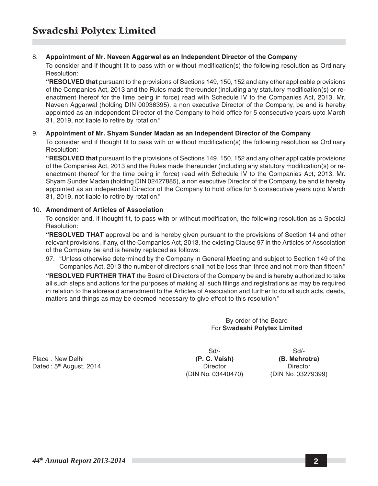#### 8. **Appointment of Mr. Naveen Aggarwal as an Independent Director of the Company**

To consider and if thought fit to pass with or without modification(s) the following resolution as Ordinary Resolution:

**"RESOLVED that** pursuant to the provisions of Sections 149, 150, 152 and any other applicable provisions of the Companies Act, 2013 and the Rules made thereunder (including any statutory modification(s) or reenactment thereof for the time being in force) read with Schedule IV to the Companies Act, 2013, Mr. Naveen Aggarwal (holding DIN 00936395), a non executive Director of the Company, be and is hereby appointed as an independent Director of the Company to hold office for 5 consecutive years upto March 31, 2019, not liable to retire by rotation."

#### 9. **Appointment of Mr. Shyam Sunder Madan as an Independent Director of the Company**

To consider and if thought fit to pass with or without modification(s) the following resolution as Ordinary Resolution:

**"RESOLVED that** pursuant to the provisions of Sections 149, 150, 152 and any other applicable provisions of the Companies Act, 2013 and the Rules made thereunder (including any statutory modification(s) or reenactment thereof for the time being in force) read with Schedule IV to the Companies Act, 2013, Mr. Shyam Sunder Madan (holding DIN 02427885), a non executive Director of the Company, be and is hereby appointed as an independent Director of the Company to hold office for 5 consecutive years upto March 31, 2019, not liable to retire by rotation."

#### 10. **Amendment of Articles of Association**

To consider and, if thought fit, to pass with or without modification, the following resolution as a Special Resolution:

**"RESOLVED THAT** approval be and is hereby given pursuant to the provisions of Section 14 and other relevant provisions, if any, of the Companies Act, 2013, the existing Clause 97 in the Articles of Association of the Company be and is hereby replaced as follows:

97. "Unless otherwise determined by the Company in General Meeting and subject to Section 149 of the Companies Act, 2013 the number of directors shall not be less than three and not more than fifteen."

**"RESOLVED FURTHER THAT** the Board of Directors of the Company be and is hereby authorized to take all such steps and actions for the purposes of making all such filings and registrations as may be required in relation to the aforesaid amendment to the Articles of Association and further to do all such acts, deeds, matters and things as may be deemed necessary to give effect to this resolution."

> By order of the Board For **Swadeshi Polytex Limited**

Place : New Delhi **(P. C. Vaish) (B. Mehrotra)** Dated : 5<sup>th</sup> August, 2014 **Director** Director **Director** Director

Sd/- Sd/- (DIN No. 03440470) (DIN No. 03279399)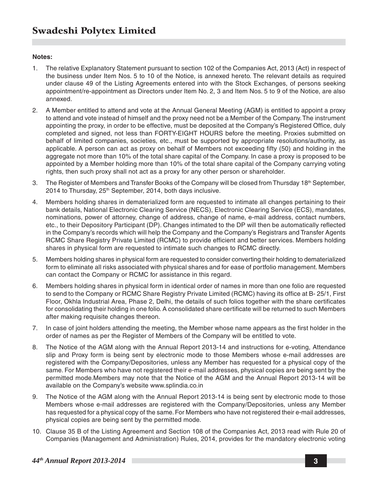#### **Notes:**

- 1. The relative Explanatory Statement pursuant to section 102 of the Companies Act, 2013 (Act) in respect of the business under Item Nos. 5 to 10 of the Notice, is annexed hereto. The relevant details as required under clause 49 of the Listing Agreements entered into with the Stock Exchanges, of persons seeking appointment/re-appointment as Directors under Item No. 2, 3 and Item Nos. 5 to 9 of the Notice, are also annexed.
- 2. A Member entitled to attend and vote at the Annual General Meeting (AGM) is entitled to appoint a proxy to attend and vote instead of himself and the proxy need not be a Member of the Company. The instrument appointing the proxy, in order to be effective, must be deposited at the Company's Registered Office, duly completed and signed, not less than FORTY-EIGHT HOURS before the meeting. Proxies submitted on behalf of limited companies, societies, etc., must be supported by appropriate resolutions/authority, as applicable. A person can act as proxy on behalf of Members not exceeding fifty (50) and holding in the aggregate not more than 10% of the total share capital of the Company. In case a proxy is proposed to be appointed by a Member holding more than 10% of the total share capital of the Company carrying voting rights, then such proxy shall not act as a proxy for any other person or shareholder.
- 3. The Register of Members and Transfer Books of the Company will be closed from Thursday 18<sup>th</sup> September, 2014 to Thursday, 25<sup>th</sup> September, 2014, both days inclusive.
- 4. Members holding shares in dematerialized form are requested to intimate all changes pertaining to their bank details, National Electronic Clearing Service (NECS), Electronic Clearing Service (ECS), mandates, nominations, power of attorney, change of address, change of name, e-mail address, contact numbers, etc., to their Depository Participant (DP). Changes intimated to the DP will then be automatically reflected in the Company's records which will help the Company and the Company's Registrars and Transfer Agents RCMC Share Registry Private Limited (RCMC) to provide efficient and better services. Members holding shares in physical form are requested to intimate such changes to RCMC directly.
- 5. Members holding shares in physical form are requested to consider converting their holding to dematerialized form to eliminate all risks associated with physical shares and for ease of portfolio management. Members can contact the Company or RCMC for assistance in this regard.
- 6. Members holding shares in physical form in identical order of names in more than one folio are requested to send to the Company or RCMC Share Registry Private Limited (RCMC) having its office at B- 25/1, First Floor, Okhla Industrial Area, Phase 2, Delhi, the details of such folios together with the share certificates for consolidating their holding in one folio. A consolidated share certificate will be returned to such Members after making requisite changes thereon.
- 7. In case of joint holders attending the meeting, the Member whose name appears as the first holder in the order of names as per the Register of Members of the Company will be entitled to vote.
- 8. The Notice of the AGM along with the Annual Report 2013-14 and instructions for e-voting, Attendance slip and Proxy form is being sent by electronic mode to those Members whose e-mail addresses are registered with the Company/Depositories, unless any Member has requested for a physical copy of the same. For Members who have not registered their e-mail addresses, physical copies are being sent by the permitted mode.Members may note that the Notice of the AGM and the Annual Report 2013-14 will be available on the Company's website www.splindia.co.in
- 9. The Notice of the AGM along with the Annual Report 2013-14 is being sent by electronic mode to those Members whose e-mail addresses are registered with the Company/Depositories, unless any Member has requested for a physical copy of the same. For Members who have not registered their e-mail addresses, physical copies are being sent by the permitted mode.
- 10. Clause 35 B of the Listing Agreement and Section 108 of the Companies Act, 2013 read with Rule 20 of Companies (Management and Administration) Rules, 2014, provides for the mandatory electronic voting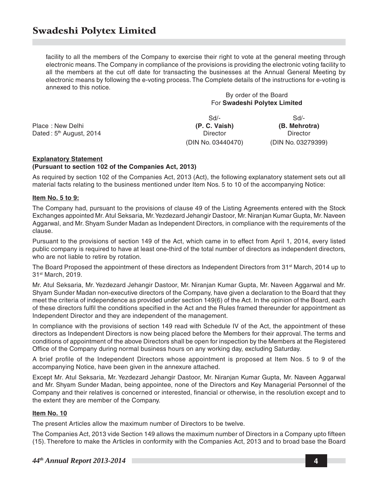facility to all the members of the Company to exercise their right to vote at the general meeting through electronic means. The Company in compliance of the provisions is providing the electronic voting facility to all the members at the cut off date for transacting the businesses at the Annual General Meeting by electronic means by following the e-voting process. The Complete details of the instructions for e-voting is annexed to this notice.

By order of the Board For **Swadeshi Polytex Limited**

Place : New Delhi **(P. C. Vaish) (B. Mehrotra)** Dated : 5<sup>th</sup> August, 2014 **Director** Director Director Director

(DIN No. 03440470) (DIN No. 03279399)

Sd/- Sd/-

#### **Explanatory Statement (Pursuant to section 102 of the Companies Act, 2013)**

As required by section 102 of the Companies Act, 2013 (Act), the following explanatory statement sets out all material facts relating to the business mentioned under Item Nos. 5 to 10 of the accompanying Notice:

#### **Item No. 5 to 9:**

The Company had, pursuant to the provisions of clause 49 of the Listing Agreements entered with the Stock Exchanges appointed Mr. Atul Seksaria, Mr. Yezdezard Jehangir Dastoor, Mr. Niranjan Kumar Gupta, Mr. Naveen Aggarwal, and Mr. Shyam Sunder Madan as Independent Directors, in compliance with the requirements of the clause.

Pursuant to the provisions of section 149 of the Act, which came in to effect from April 1, 2014, every listed public company is required to have at least one-third of the total number of directors as independent directors, who are not liable to retire by rotation.

The Board Proposed the appointment of these directors as Independent Directors from 31<sup>st</sup> March, 2014 up to 31st March, 2019.

Mr. Atul Seksaria, Mr. Yezdezard Jehangir Dastoor, Mr. Niranjan Kumar Gupta, Mr. Naveen Aggarwal and Mr. Shyam Sunder Madan non-executive directors of the Company, have given a declaration to the Board that they meet the criteria of independence as provided under section 149(6) of the Act. In the opinion of the Board, each of these directors fulfil the conditions specified in the Act and the Rules framed thereunder for appointment as Independent Director and they are independent of the management.

In compliance with the provisions of section 149 read with Schedule IV of the Act, the appointment of these directors as Independent Directors is now being placed before the Members for their approval. The terms and conditions of appointment of the above Directors shall be open for inspection by the Members at the Registered Office of the Company during normal business hours on any working day, excluding Saturday.

A brief profile of the Independent Directors whose appointment is proposed at Item Nos. 5 to 9 of the accompanying Notice, have been given in the annexure attached.

Except Mr. Atul Seksaria, Mr. Yezdezard Jehangir Dastoor, Mr. Niranjan Kumar Gupta, Mr. Naveen Aggarwal and Mr. Shyam Sunder Madan, being appointee, none of the Directors and Key Managerial Personnel of the Company and their relatives is concerned or interested, financial or otherwise, in the resolution except and to the extent they are member of the Company.

#### **Item No. 10**

The present Articles allow the maximum number of Directors to be twelve.

The Companies Act, 2013 vide Section 149 allows the maximum number of Directors in a Company upto fifteen (15). Therefore to make the Articles in conformity with the Companies Act, 2013 and to broad base the Board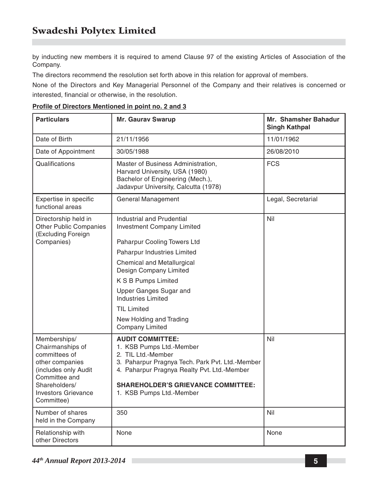by inducting new members it is required to amend Clause 97 of the existing Articles of Association of the Company.

The directors recommend the resolution set forth above in this relation for approval of members.

None of the Directors and Key Managerial Personnel of the Company and their relatives is concerned or interested, financial or otherwise, in the resolution.

| <b>Particulars</b>                                                                                                                                                         | <b>Mr. Gaurav Swarup</b>                                                                                                                                                                                                                             | Mr. Shamsher Bahadur<br><b>Singh Kathpal</b> |
|----------------------------------------------------------------------------------------------------------------------------------------------------------------------------|------------------------------------------------------------------------------------------------------------------------------------------------------------------------------------------------------------------------------------------------------|----------------------------------------------|
| Date of Birth                                                                                                                                                              | 21/11/1956                                                                                                                                                                                                                                           | 11/01/1962                                   |
| Date of Appointment                                                                                                                                                        | 30/05/1988                                                                                                                                                                                                                                           | 26/08/2010                                   |
| Qualifications                                                                                                                                                             | Master of Business Administration,<br>Harvard University, USA (1980)<br>Bachelor of Engineering (Mech.),<br>Jadavpur University, Calcutta (1978)                                                                                                     | <b>FCS</b>                                   |
| Expertise in specific<br>functional areas                                                                                                                                  | General Management                                                                                                                                                                                                                                   | Legal, Secretarial                           |
| Directorship held in<br><b>Other Public Companies</b><br>(Excluding Foreign                                                                                                | Industrial and Prudential<br><b>Investment Company Limited</b>                                                                                                                                                                                       | Nil                                          |
| Companies)                                                                                                                                                                 | Paharpur Cooling Towers Ltd                                                                                                                                                                                                                          |                                              |
|                                                                                                                                                                            | Paharpur Industries Limited                                                                                                                                                                                                                          |                                              |
|                                                                                                                                                                            | <b>Chemical and Metallurgical</b><br>Design Company Limited                                                                                                                                                                                          |                                              |
|                                                                                                                                                                            | K S B Pumps Limited                                                                                                                                                                                                                                  |                                              |
|                                                                                                                                                                            | Upper Ganges Sugar and<br>Industries Limited                                                                                                                                                                                                         |                                              |
|                                                                                                                                                                            | <b>TIL Limited</b>                                                                                                                                                                                                                                   |                                              |
|                                                                                                                                                                            | New Holding and Trading<br><b>Company Limited</b>                                                                                                                                                                                                    |                                              |
| Memberships/<br>Chairmanships of<br>committees of<br>other companies<br>(includes only Audit<br>Committee and<br>Shareholders/<br><b>Investors Grievance</b><br>Committee) | <b>AUDIT COMMITTEE:</b><br>1. KSB Pumps Ltd.-Member<br>2. TIL Ltd.-Member<br>3. Paharpur Pragnya Tech. Park Pvt. Ltd.-Member<br>4. Paharpur Pragnya Realty Pvt. Ltd.-Member<br><b>SHAREHOLDER'S GRIEVANCE COMMITTEE:</b><br>1. KSB Pumps Ltd.-Member | Nil                                          |
| Number of shares<br>held in the Company                                                                                                                                    | 350                                                                                                                                                                                                                                                  | Nil                                          |
| Relationship with<br>other Directors                                                                                                                                       | None                                                                                                                                                                                                                                                 | None                                         |

#### **Profile of Directors Mentioned in point no. 2 and 3**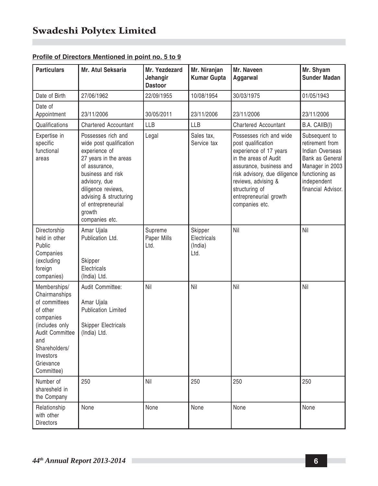| <b>Particulars</b>                                                                                                                                                                  | Mr. Atul Seksaria                                                                                                                                                                                                                                | Mr. Yezdezard<br>Jehangir<br><b>Dastoor</b> | Mr. Niranjan<br><b>Kumar Gupta</b>        | Mr. Naveen<br>Aggarwal                                                                                                                                                                                                                           | Mr. Shyam<br>Sunder Madan                                                                                                                        |
|-------------------------------------------------------------------------------------------------------------------------------------------------------------------------------------|--------------------------------------------------------------------------------------------------------------------------------------------------------------------------------------------------------------------------------------------------|---------------------------------------------|-------------------------------------------|--------------------------------------------------------------------------------------------------------------------------------------------------------------------------------------------------------------------------------------------------|--------------------------------------------------------------------------------------------------------------------------------------------------|
| Date of Birth                                                                                                                                                                       | 27/06/1962                                                                                                                                                                                                                                       | 22/09/1955                                  | 10/08/1954                                | 30/03/1975                                                                                                                                                                                                                                       | 01/05/1943                                                                                                                                       |
| Date of<br>Appointment                                                                                                                                                              | 23/11/2006                                                                                                                                                                                                                                       | 30/05/2011                                  | 23/11/2006                                | 23/11/2006                                                                                                                                                                                                                                       | 23/11/2006                                                                                                                                       |
| Qualifications                                                                                                                                                                      | <b>Chartered Accountant</b>                                                                                                                                                                                                                      | <b>LLB</b>                                  | <b>LLB</b>                                | <b>Chartered Accountant</b>                                                                                                                                                                                                                      | B.A. CAIIB(I)                                                                                                                                    |
| Expertise in<br>specific<br>functional<br>areas                                                                                                                                     | Possesses rich and<br>wide post qualification<br>experience of<br>27 years in the areas<br>of assurance,<br>business and risk<br>advisory, due<br>diligence reviews,<br>advising & structuring<br>of entrepreneurial<br>growth<br>companies etc. | Legal                                       | Sales tax,<br>Service tax                 | Possesses rich and wide<br>post qualification<br>experience of 17 years<br>in the areas of Audit<br>assurance, business and<br>risk advisory, due diligence<br>reviews, advising &<br>structuring of<br>entrepreneurial growth<br>companies etc. | Subsequent to<br>retirement from<br>Indian Overseas<br>Bank as General<br>Manager in 2003<br>functioning as<br>independent<br>financial Advisor. |
| Directorship<br>held in other<br>Public<br>Companies<br>(excluding<br>foreign<br>companies)                                                                                         | Amar Ujala<br>Publication Ltd.<br>Skipper<br>Electricals<br>(India) Ltd.                                                                                                                                                                         | Supreme<br>Paper Mills<br>Ltd.              | Skipper<br>Electricals<br>(India)<br>Ltd. | Nil                                                                                                                                                                                                                                              | Nil                                                                                                                                              |
| Memberships/<br>Chairmanships<br>of committees<br>of other<br>companies<br>(includes only<br><b>Audit Committee</b><br>and<br>Shareholders/<br>Investors<br>Grievance<br>Committee) | Audit Committee:<br>Amar Ujala<br><b>Publication Limited</b><br>Skipper Electricals<br>(India) Ltd.                                                                                                                                              | Nil                                         | Nil                                       | Nil                                                                                                                                                                                                                                              | Nil                                                                                                                                              |
| Number of<br>sharesheld in<br>the Company                                                                                                                                           | 250                                                                                                                                                                                                                                              | Nil                                         | 250                                       | 250                                                                                                                                                                                                                                              | 250                                                                                                                                              |
| Relationship<br>with other<br><b>Directors</b>                                                                                                                                      | None                                                                                                                                                                                                                                             | None                                        | None                                      | None                                                                                                                                                                                                                                             | None                                                                                                                                             |

### **Profile of Directors Mentioned in point no. 5 to 9**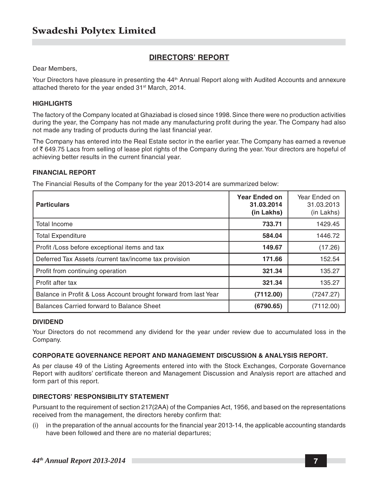#### **DIRECTORS' REPORT**

Dear Members,

Your Directors have pleasure in presenting the 44<sup>th</sup> Annual Report along with Audited Accounts and annexure attached thereto for the year ended 31<sup>st</sup> March, 2014.

#### **HIGHLIGHTS**

The factory of the Company located at Ghaziabad is closed since 1998. Since there were no production activities during the year, the Company has not made any manufacturing profit during the year. The Company had also not made any trading of products during the last financial year.

The Company has entered into the Real Estate sector in the earlier year. The Company has earned a revenue of  $\bar{\tau}$  649.75 Lacs from selling of lease plot rights of the Company during the year. Your directors are hopeful of achieving better results in the current financial year.

#### **FINANCIAL REPORT**

The Financial Results of the Company for the year 2013-2014 are summarized below:

| <b>Particulars</b>                                              | Year Ended on<br>31.03.2014<br>(in Lakhs) | Year Ended on<br>31.03.2013<br>(in Lakhs) |
|-----------------------------------------------------------------|-------------------------------------------|-------------------------------------------|
| <b>Total Income</b>                                             | 733.71                                    | 1429.45                                   |
| <b>Total Expenditure</b>                                        | 584.04                                    | 1446.72                                   |
| Profit /Loss before exceptional items and tax                   | 149.67                                    | (17.26)                                   |
| Deferred Tax Assets / current tax/income tax provision          | 171.66                                    | 152.54                                    |
| Profit from continuing operation                                | 321.34                                    | 135.27                                    |
| Profit after tax                                                | 321.34                                    | 135.27                                    |
| Balance in Profit & Loss Account brought forward from last Year | (7112.00)                                 | (7247.27)                                 |
| Balances Carried forward to Balance Sheet                       | (6790.65)                                 | (7112.00)                                 |

#### **DIVIDEND**

Your Directors do not recommend any dividend for the year under review due to accumulated loss in the Company.

#### **CORPORATE GOVERNANCE REPORT AND MANAGEMENT DISCUSSION & ANALYSIS REPORT.**

As per clause 49 of the Listing Agreements entered into with the Stock Exchanges, Corporate Governance Report with auditors' certificate thereon and Management Discussion and Analysis report are attached and form part of this report.

#### **DIRECTORS' RESPONSIBILITY STATEMENT**

Pursuant to the requirement of section 217(2AA) of the Companies Act, 1956, and based on the representations received from the management, the directors hereby confirm that:

(i) in the preparation of the annual accounts for the financial year 2013-14, the applicable accounting standards have been followed and there are no material departures;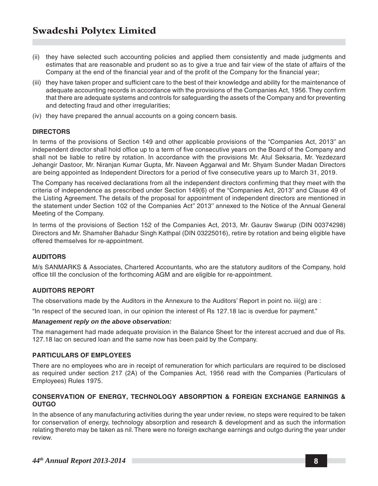- (ii) they have selected such accounting policies and applied them consistently and made judgments and estimates that are reasonable and prudent so as to give a true and fair view of the state of affairs of the Company at the end of the financial year and of the profit of the Company for the financial year;
- (iii) they have taken proper and sufficient care to the best of their knowledge and ability for the maintenance of adequate accounting records in accordance with the provisions of the Companies Act, 1956. They confirm that there are adequate systems and controls for safeguarding the assets of the Company and for preventing and detecting fraud and other irregularities;
- (iv) they have prepared the annual accounts on a going concern basis.

#### **DIRECTORS**

In terms of the provisions of Section 149 and other applicable provisions of the "Companies Act, 2013" an independent director shall hold office up to a term of five consecutive years on the Board of the Company and shall not be liable to retire by rotation. In accordance with the provisions Mr. Atul Seksaria, Mr. Yezdezard Jehangir Dastoor, Mr. Niranjan Kumar Gupta, Mr. Naveen Aggarwal and Mr. Shyam Sunder Madan Directors are being appointed as Independent Directors for a period of five consecutive years up to March 31, 2019.

The Company has received declarations from all the independent directors confirming that they meet with the criteria of independence as prescribed under Section 149(6) of the "Companies Act, 2013" and Clause 49 of the Listing Agreement. The details of the proposal for appointment of independent directors are mentioned in the statement under Section 102 of the Companies Act'' 2013'' annexed to the Notice of the Annual General Meeting of the Company.

In terms of the provisions of Section 152 of the Companies Act, 2013, Mr. Gaurav Swarup (DIN 00374298) Directors and Mr. Shamsher Bahadur Singh Kathpal (DIN 03225016), retire by rotation and being eligible have offered themselves for re-appointment.

#### **AUDITORS**

M/s SANMARKS & Associates, Chartered Accountants, who are the statutory auditors of the Company, hold office till the conclusion of the forthcoming AGM and are eligible for re-appointment.

#### **AUDITORS REPORT**

The observations made by the Auditors in the Annexure to the Auditors' Report in point no. iii(g) are :

"In respect of the secured loan, in our opinion the interest of Rs 127.18 lac is overdue for payment."

#### *Management reply on the above observation:*

The management had made adequate provision in the Balance Sheet for the interest accrued and due of Rs. 127.18 lac on secured loan and the same now has been paid by the Company.

#### **PARTICULARS OF EMPLOYEES**

There are no employees who are in receipt of remuneration for which particulars are required to be disclosed as required under section 217 (2A) of the Companies Act, 1956 read with the Companies (Particulars of Employees) Rules 1975.

#### **CONSERVATION OF ENERGY, TECHNOLOGY ABSORPTION & FOREIGN EXCHANGE EARNINGS & OUTGO**

In the absence of any manufacturing activities during the year under review, no steps were required to be taken for conservation of energy, technology absorption and research & development and as such the information relating thereto may be taken as nil. There were no foreign exchange earnings and outgo during the year under review.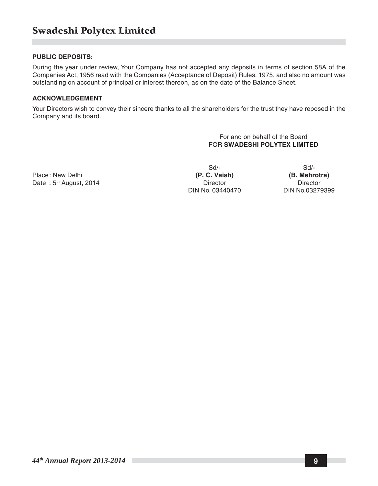#### **PUBLIC DEPOSITS:**

During the year under review, Your Company has not accepted any deposits in terms of section 58A of the Companies Act, 1956 read with the Companies (Acceptance of Deposit) Rules, 1975, and also no amount was outstanding on account of principal or interest thereon, as on the date of the Balance Sheet.

#### **ACKNOWLEDGEMENT**

Your Directors wish to convey their sincere thanks to all the shareholders for the trust they have reposed in the Company and its board.

> For and on behalf of the Board FOR **SWADESHI POLYTEX LIMITED**

Place: New Delhi **(P. C. Vaish) (P. C. Vaish)** (B. Mehrotra) (B. Mehrotra) (B. Mehrotra) (B. Mehrotra) (B. Mehrotra) Date: 5<sup>th</sup> August, 2014

DIN No. 03440470 DIN No.03279399

Sd/- Sd/-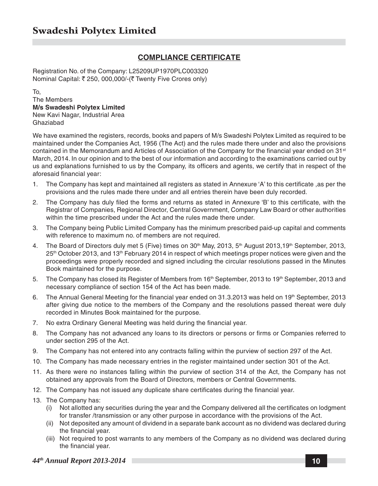#### **COMPLIANCE CERTIFICATE**

Registration No. of the Company: L25209UP1970PLC003320 Nominal Capital: ₹ 250, 000,000/-(₹ Twenty Five Crores only)

To, The Members **M/s Swadeshi Polytex Limited** New Kavi Nagar, Industrial Area Ghaziabad

We have examined the registers, records, books and papers of M/s Swadeshi Polytex Limited as required to be maintained under the Companies Act, 1956 (The Act) and the rules made there under and also the provisions contained in the Memorandum and Articles of Association of the Company for the financial year ended on 31<sup>st</sup> March, 2014. In our opinion and to the best of our information and according to the examinations carried out by us and explanations furnished to us by the Company, its officers and agents, we certify that in respect of the aforesaid financial year:

- 1. The Company has kept and maintained all registers as stated in Annexure 'A' to this certificate ,as per the provisions and the rules made there under and all entries therein have been duly recorded.
- 2. The Company has duly filed the forms and returns as stated in Annexure 'B' to this certificate, with the Registrar of Companies, Regional Director, Central Government, Company Law Board or other authorities within the time prescribed under the Act and the rules made there under.
- 3. The Company being Public Limited Company has the minimum prescribed paid-up capital and comments with reference to maximum no. of members are not required.
- 4. The Board of Directors duly met 5 (Five) times on 30<sup>th</sup> May, 2013, 5<sup>th</sup> August 2013,19<sup>th</sup> September, 2013, 25th October 2013, and 13th February 2014 in respect of which meetings proper notices were given and the proceedings were properly recorded and signed including the circular resolutions passed in the Minutes Book maintained for the purpose.
- 5. The Company has closed its Register of Members from 16<sup>th</sup> September, 2013 to 19<sup>th</sup> September, 2013 and necessary compliance of section 154 of the Act has been made.
- 6. The Annual General Meeting for the financial year ended on  $31.3.2013$  was held on  $19<sup>th</sup>$  September, 2013 after giving due notice to the members of the Company and the resolutions passed thereat were duly recorded in Minutes Book maintained for the purpose.
- 7. No extra Ordinary General Meeting was held during the financial year.
- 8. The Company has not advanced any loans to its directors or persons or firms or Companies referred to under section 295 of the Act.
- 9. The Company has not entered into any contracts falling within the purview of section 297 of the Act.
- 10. The Company has made necessary entries in the register maintained under section 301 of the Act.
- 11. As there were no instances falling within the purview of section 314 of the Act, the Company has not obtained any approvals from the Board of Directors, members or Central Governments.
- 12. The Company has not issued any duplicate share certificates during the financial year.
- 13. The Company has:
	- (i) Not allotted any securities during the year and the Company delivered all the certificates on lodgment for transfer /transmission or any other purpose in accordance with the provisions of the Act.
	- (ii) Not deposited any amount of dividend in a separate bank account as no dividend was declared during the financial year.
	- (iii) Not required to post warrants to any members of the Company as no dividend was declared during the financial year.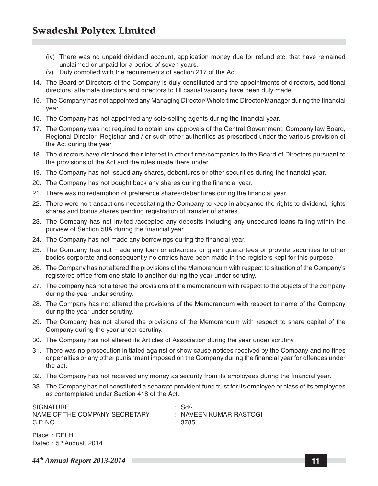- (iv) There was no unpaid dividend account, application money due for refund etc. that have remained unclaimed or unpaid for a period of seven years.
- (v) Duly complied with the requirements of section 217 of the Act.
- 14. The Board of Directors of the Company is duly constituted and the appointments of directors, additional directors, alternate directors and directors to fill casual vacancy have been duly made.
- 15. The Company has not appointed any Managing Director/ Whole time Director/Manager during the financial year.
- 16. The Company has not appointed any sole-selling agents during the financial year.
- 17. The Company was not required to obtain any approvals of the Central Government, Company law Board, Regional Director, Registrar and / or such other authorities as prescribed under the various provision of the Act during the year.
- 18. The directors have disclosed their interest in other firms/companies to the Board of Directors pursuant to the provisions of the Act and the rules made there under.
- 19. The Company has not issued any shares, debentures or other securities during the financial year.
- 20. The Company has not bought back any shares during the financial year.
- 21. There was no redemption of preference shares/debentures during the financial year.
- 22. There were no transactions necessitating the Company to keep in abeyance the rights to dividend, rights shares and bonus shares pending registration of transfer of shares.
- 23. The Company has not invited /accepted any deposits including any unsecured loans falling within the purview of Section 58A during the financial year.
- 24. The Company has not made any borrowings during the financial year.
- 25. The Company has not made any loan or advances or given guarantees or provide securities to other bodies corporate and consequently no entries have been made in the registers kept for this purpose.
- 26. The Company has not altered the provisions of the Memorandum with respect to situation of the Company's registered office from one state to another during the year under scrutiny.
- 27. The company has not altered the provisions of the memorandum with respect to the objects of the company during the year under scrutiny.
- 28. The Company has not altered the provisions of the Memorandum with respect to name of the Company during the year under scrutiny.
- 29. The Company has not altered the provisions of the Memorandum with respect to share capital of the Company during the year under scrutiny.
- 30. The Company has not altered its Articles of Association during the year under scrutiny
- 31. There was no prosecution initiated against or show cause notices received by the Company and no fines or penalties or any other punishment imposed on the Company during the financial year for offences under the act.
- 32. The Company has not received any money as security from its employees during the financial year.
- 33. The Company has not constituted a separate provident fund trust for its employee or class of its employees as contemplated under Section 418 of the Act.

| <b>SIGNATURE</b>              | : Sd/-                 |
|-------------------------------|------------------------|
| NAME OF THE COMPANY SECRETARY | : NAVEEN KUMAR RASTOGI |
| C.P. NO.                      | : 3785                 |
|                               |                        |

Place : DELHI Dated:  $5<sup>th</sup>$  August, 2014

*44th Annual Report 2013-2014* **11**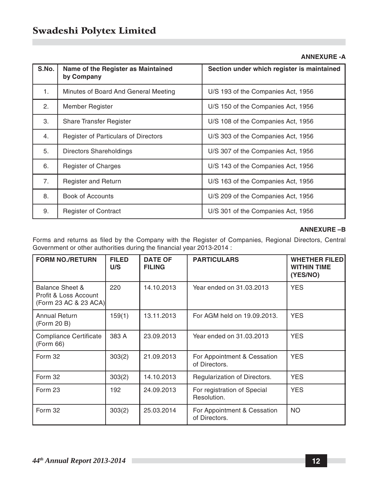#### **ANNEXURE -A**

| S.No.          | Name of the Register as Maintained<br>by Company                     | Section under which register is maintained |  |
|----------------|----------------------------------------------------------------------|--------------------------------------------|--|
| 1.             | Minutes of Board And General Meeting                                 | U/S 193 of the Companies Act, 1956         |  |
| 2.             | Member Register                                                      | U/S 150 of the Companies Act, 1956         |  |
| 3.             | <b>Share Transfer Register</b><br>U/S 108 of the Companies Act, 1956 |                                            |  |
| 4.             | <b>Register of Particulars of Directors</b>                          | U/S 303 of the Companies Act, 1956         |  |
| 5.             | Directors Shareholdings                                              | U/S 307 of the Companies Act, 1956         |  |
| 6.             | Register of Charges                                                  | U/S 143 of the Companies Act, 1956         |  |
| 7 <sub>1</sub> | <b>Register and Return</b>                                           | U/S 163 of the Companies Act, 1956         |  |
| 8.             | Book of Accounts                                                     | U/S 209 of the Companies Act, 1956         |  |
| 9.             | <b>Register of Contract</b>                                          | U/S 301 of the Companies Act, 1956         |  |

#### **ANNEXURE –B**

Forms and returns as filed by the Company with the Register of Companies, Regional Directors, Central Government or other authorities during the financial year 2013-2014 :

| <b>FORM NO./RETURN</b>                                            | <b>FILED</b><br>U/S | <b>DATE OF</b><br><b>FILING</b> | <b>PARTICULARS</b>                           | <b>WHETHER FILED</b><br><b>WITHIN TIME</b><br>(YES/NO) |
|-------------------------------------------------------------------|---------------------|---------------------------------|----------------------------------------------|--------------------------------------------------------|
| Balance Sheet &<br>Profit & Loss Account<br>(Form 23 AC & 23 ACA) | 220                 | 14.10.2013                      | Year ended on 31,03,2013                     | <b>YES</b>                                             |
| Annual Return<br>(Form 20 B)                                      | 159(1)              | 13.11.2013                      | For AGM held on 19.09.2013.                  | <b>YES</b>                                             |
| <b>Compliance Certificate</b><br>(Form 66)                        | 383 A               | 23.09.2013                      | Year ended on 31,03,2013                     | <b>YES</b>                                             |
| Form 32                                                           | 303(2)              | 21.09.2013                      | For Appointment & Cessation<br>of Directors. | <b>YES</b>                                             |
| Form 32                                                           | 303(2)              | 14.10.2013                      | Regularization of Directors.                 | <b>YES</b>                                             |
| Form 23                                                           | 192                 | 24.09.2013                      | For registration of Special<br>Resolution.   | <b>YES</b>                                             |
| Form 32                                                           | 303(2)              | 25.03.2014                      | For Appointment & Cessation<br>of Directors. | <b>NO</b>                                              |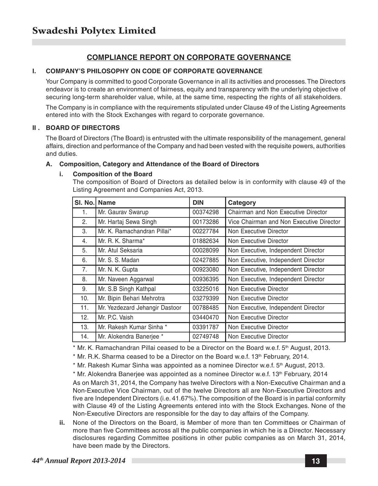#### **COMPLIANCE REPORT ON CORPORATE GOVERNANCE**

#### **I. COMPANY'S PHILOSOPHY ON CODE OF CORPORATE GOVERNANCE**

Your Company is committed to good Corporate Governance in all its activities and processes. The Directors endeavor is to create an environment of fairness, equity and transparency with the underlying objective of securing long-term shareholder value, while, at the same time, respecting the rights of all stakeholders.

The Company is in compliance with the requirements stipulated under Clause 49 of the Listing Agreements entered into with the Stock Exchanges with regard to corporate governance.

#### **II . BOARD OF DIRECTORS**

The Board of Directors (The Board) is entrusted with the ultimate responsibility of the management, general affairs, direction and performance of the Company and had been vested with the requisite powers, authorities and duties.

#### **A. Composition, Category and Attendance of the Board of Directors**

#### **i. Composition of the Board**

The composition of Board of Directors as detailed below is in conformity with clause 49 of the Listing Agreement and Companies Act, 2013.

| SI. No. | Name                           | <b>DIN</b> | Category                                 |
|---------|--------------------------------|------------|------------------------------------------|
| 1.      | Mr. Gaurav Swarup              | 00374298   | Chairman and Non Executive Director      |
| 2.      | Mr. Hartaj Sewa Singh          | 00173286   | Vice Chairman and Non Executive Director |
| 3.      | Mr. K. Ramachandran Pillai*    | 00227784   | Non Executive Director                   |
| 4.      | Mr. R. K. Sharma*              | 01882634   | Non Executive Director                   |
| 5.      | Mr. Atul Seksaria              | 00028099   | Non Executive, Independent Director      |
| 6.      | Mr. S. S. Madan                | 02427885   | Non Executive, Independent Director      |
| 7.      | Mr. N. K. Gupta                | 00923080   | Non Executive, Independent Director      |
| 8.      | Mr. Naveen Aggarwal            | 00936395   | Non Executive, Independent Director      |
| 9.      | Mr. S.B Singh Kathpal          | 03225016   | Non Executive Director                   |
| 10.     | Mr. Bipin Behari Mehrotra      | 03279399   | Non Executive Director                   |
| 11.     | Mr. Yezdezard Jehangir Dastoor | 00788485   | Non Executive, Independent Director      |
| 12.     | Mr. P.C. Vaish                 | 03440470   | Non Executive Director                   |
| 13.     | Mr. Rakesh Kumar Sinha *       | 03391787   | Non Executive Director                   |
| 14.     | Mr. Alokendra Baneriee *       | 02749748   | Non Executive Director                   |

\* Mr. K. Ramachandran Pillai ceased to be a Director on the Board w.e.f. 5th August, 2013.

 $*$  Mr. R.K. Sharma ceased to be a Director on the Board w.e.f. 13<sup>th</sup> February, 2014.

\* Mr. Rakesh Kumar Sinha was appointed as a nominee Director w.e.f. 5<sup>th</sup> August, 2013.

 $*$  Mr. Alokendra Banerjee was appointed as a nominee Director w.e.f. 13<sup>th</sup> February, 2014

As on March 31, 2014, the Company has twelve Directors with a Non-Executive Chairman and a Non-Executive Vice Chairman, out of the twelve Directors all are Non-Executive Directors and five are Independent Directors (i.e. 41.67%). The composition of the Board is in partial conformity with Clause 49 of the Listing Agreements entered into with the Stock Exchanges. None of the Non-Executive Directors are responsible for the day to day affairs of the Company.

**ii.** None of the Directors on the Board, is Member of more than ten Committees or Chairman of more than five Committees across all the public companies in which he is a Director. Necessary disclosures regarding Committee positions in other public companies as on March 31, 2014, have been made by the Directors.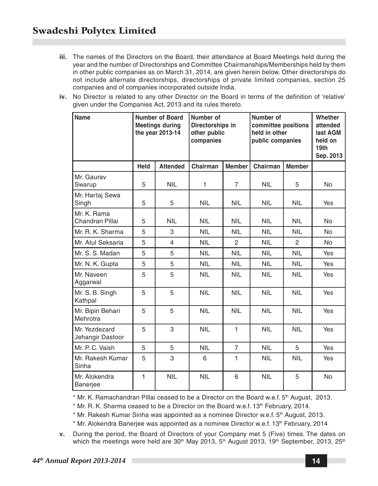- **iii.** The names of the Directors on the Board, their attendance at Board Meetings held during the year and the number of Directorships and Committee Chairmanships/Memberships held by them in other public companies as on March 31, 2014, are given herein below. Other directorships do not include alternate directorships, directorships of private limited companies, section 25 companies and of companies incorporated outside India.
- **iv.** No Director is related to any other Director on the Board in terms of the definition of 'relative' given under the Companies Act, 2013 and its rules thereto.

| Name                              |      | <b>Number of Board</b><br><b>Meetings during</b><br>the year 2013-14 | Number of<br>Directorships in<br>other public<br>companies |                | Number of<br>committee positions<br>held in other<br>public companies |                | Whether<br>attended<br>last AGM<br>held on<br>19 <sub>th</sub><br>Sep. 2013 |
|-----------------------------------|------|----------------------------------------------------------------------|------------------------------------------------------------|----------------|-----------------------------------------------------------------------|----------------|-----------------------------------------------------------------------------|
|                                   | Held | <b>Attended</b>                                                      | Chairman                                                   | <b>Member</b>  | Chairman                                                              | <b>Member</b>  |                                                                             |
| Mr. Gaurav<br>Swarup              | 5    | <b>NIL</b>                                                           | 1                                                          | $\overline{7}$ | <b>NIL</b>                                                            | 5              | <b>No</b>                                                                   |
| Mr. Hartaj Sewa<br>Singh          | 5    | 5                                                                    | <b>NIL</b>                                                 | <b>NIL</b>     | <b>NIL</b>                                                            | <b>NIL</b>     | <b>Yes</b>                                                                  |
| Mr. K. Rama<br>Chandran Pillai    | 5    | <b>NIL</b>                                                           | <b>NIL</b>                                                 | <b>NIL</b>     | <b>NIL</b>                                                            | <b>NIL</b>     | <b>No</b>                                                                   |
| Mr. R. K. Sharma                  | 5    | 3                                                                    | <b>NIL</b>                                                 | <b>NIL</b>     | <b>NIL</b>                                                            | <b>NIL</b>     | <b>No</b>                                                                   |
| Mr. Atul Seksaria                 | 5    | $\overline{4}$                                                       | <b>NIL</b>                                                 | 2              | <b>NIL</b>                                                            | $\overline{2}$ | No.                                                                         |
| Mr. S. S. Madan                   | 5    | 5                                                                    | <b>NIL</b>                                                 | <b>NIL</b>     | <b>NIL</b>                                                            | <b>NIL</b>     | Yes                                                                         |
| Mr. N. K. Gupta                   | 5    | 5                                                                    | <b>NIL</b>                                                 | <b>NIL</b>     | <b>NIL</b>                                                            | <b>NIL</b>     | Yes                                                                         |
| Mr. Naveen<br>Aggarwal            | 5    | 5                                                                    | <b>NIL</b>                                                 | <b>NIL</b>     | <b>NIL</b>                                                            | <b>NIL</b>     | Yes                                                                         |
| Mr. S. B. Singh<br>Kathpal        | 5    | 5                                                                    | <b>NIL</b>                                                 | <b>NIL</b>     | <b>NIL</b>                                                            | <b>NIL</b>     | <b>Yes</b>                                                                  |
| Mr. Bipin Behari<br>Mehrotra      | 5    | 5                                                                    | <b>NIL</b>                                                 | <b>NIL</b>     | <b>NIL</b>                                                            | <b>NIL</b>     | Yes                                                                         |
| Mr. Yezdezard<br>Jehangir Dastoor | 5    | 3                                                                    | <b>NIL</b>                                                 | $\mathbf{1}$   | <b>NIL</b>                                                            | <b>NIL</b>     | Yes                                                                         |
| Mr. P. C. Vaish                   | 5    | 5                                                                    | <b>NIL</b>                                                 | $\overline{7}$ | <b>NIL</b>                                                            | 5              | Yes                                                                         |
| Mr. Rakesh Kumar<br>Sinha         | 5    | 3                                                                    | 6                                                          | 1              | <b>NIL</b>                                                            | <b>NIL</b>     | Yes                                                                         |
| Mr. Alokendra<br><b>Banerjee</b>  | 1    | <b>NIL</b>                                                           | <b>NIL</b>                                                 | 6              | <b>NIL</b>                                                            | 5              | <b>No</b>                                                                   |

\* Mr. K. Ramachandran Pillai ceased to be a Director on the Board w.e.f. 5th August, 2013.

\* Mr. R. K. Sharma ceased to be a Director on the Board w.e.f. 13<sup>th</sup> February, 2014.

\* Mr. Rakesh Kumar Sinha was appointed as a nominee Director w.e.f. 5<sup>th</sup> August, 2013.

 $*$  Mr. Alokendra Banerjee was appointed as a nominee Director w.e.f. 13<sup>th</sup> February, 2014

**v.** During the period, the Board of Directors of your Company met 5 (Five) times. The dates on which the meetings were held are  $30<sup>th</sup>$  May 2013,  $5<sup>th</sup>$  August 2013, 19<sup>th</sup> September, 2013, 25<sup>th</sup>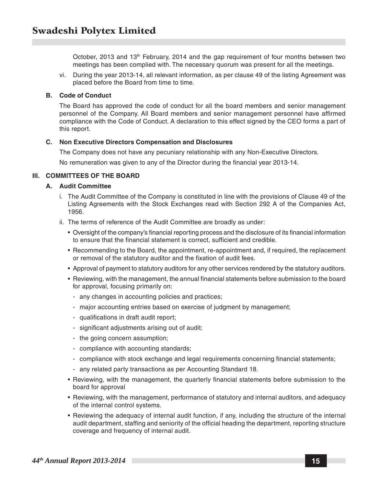October, 2013 and 13<sup>th</sup> February, 2014 and the gap requirement of four months between two meetings has been complied with. The necessary quorum was present for all the meetings.

vi. During the year 2013-14, all relevant information, as per clause 49 of the listing Agreement was placed before the Board from time to time.

#### **B. Code of Conduct**

The Board has approved the code of conduct for all the board members and senior management personnel of the Company. All Board members and senior management personnel have affirmed compliance with the Code of Conduct. A declaration to this effect signed by the CEO forms a part of this report.

#### **C. Non Executive Directors Compensation and Disclosures**

The Company does not have any pecuniary relationship with any Non-Executive Directors.

No remuneration was given to any of the Director during the financial year 2013-14.

#### **III. COMMITTEES OF THE BOARD**

#### **A. Audit Committee**

- i. The Audit Committee of the Company is constituted in line with the provisions of Clause 49 of the Listing Agreements with the Stock Exchanges read with Section 292 A of the Companies Act, 1956.
- ii. The terms of reference of the Audit Committee are broadly as under:
	- Oversight of the company's financial reporting process and the disclosure of its financial information to ensure that the financial statement is correct, sufficient and credible.
	- Recommending to the Board, the appointment, re-appointment and, if required, the replacement or removal of the statutory auditor and the fixation of audit fees.
	- Approval of payment to statutory auditors for any other services rendered by the statutory auditors.
	- Reviewing, with the management, the annual financial statements before submission to the board for approval, focusing primarily on:
		- any changes in accounting policies and practices;
		- major accounting entries based on exercise of judgment by management;
		- qualifications in draft audit report;
		- significant adjustments arising out of audit;
		- the going concern assumption;
		- compliance with accounting standards;
		- compliance with stock exchange and legal requirements concerning financial statements;
		- any related party transactions as per Accounting Standard 18.
	- Reviewing, with the management, the quarterly financial statements before submission to the board for approval
	- Reviewing, with the management, performance of statutory and internal auditors, and adequacy of the internal control systems.
	- Reviewing the adequacy of internal audit function, if any, including the structure of the internal audit department, staffing and seniority of the official heading the department, reporting structure coverage and frequency of internal audit.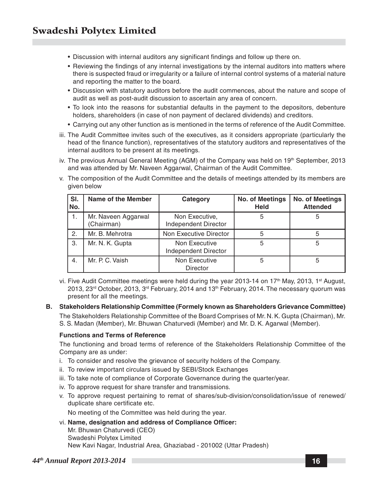- Discussion with internal auditors any significant findings and follow up there on.
- Reviewing the findings of any internal investigations by the internal auditors into matters where there is suspected fraud or irregularity or a failure of internal control systems of a material nature and reporting the matter to the board.
- Discussion with statutory auditors before the audit commences, about the nature and scope of audit as well as post-audit discussion to ascertain any area of concern.
- To look into the reasons for substantial defaults in the payment to the depositors, debenture holders, shareholders (in case of non payment of declared dividends) and creditors.
- Carrying out any other function as is mentioned in the terms of reference of the Audit Committee.
- iii. The Audit Committee invites such of the executives, as it considers appropriate (particularly the head of the finance function), representatives of the statutory auditors and representatives of the internal auditors to be present at its meetings.
- iv. The previous Annual General Meeting (AGM) of the Company was held on  $19<sup>th</sup>$  September, 2013 and was attended by Mr. Naveen Aggarwal, Chairman of the Audit Committee.
- v. The composition of the Audit Committee and the details of meetings attended by its members are given below

| SI.<br>lNo.      | Name of the Member                | Category                               | <b>No. of Meetings</b><br><b>Held</b> | <b>No. of Meetings</b><br><b>Attended</b> |
|------------------|-----------------------------------|----------------------------------------|---------------------------------------|-------------------------------------------|
| 1.               | Mr. Naveen Aggarwal<br>(Chairman) | Non Executive,<br>Independent Director | 5                                     |                                           |
| 2.               | Mr. B. Mehrotra                   | Non Executive Director                 | 5                                     |                                           |
| 3.               | Mr. N. K. Gupta                   | Non Executive<br>Independent Director  | 5                                     | 5                                         |
| $\overline{4}$ . | Mr. P. C. Vaish                   | Non Executive<br><b>Director</b>       | 5                                     | 5                                         |

vi. Five Audit Committee meetings were held during the year 2013-14 on 17<sup>th</sup> May, 2013, 1<sup>st</sup> August, 2013,  $23^{rd}$  October, 2013,  $3^{rd}$  February, 2014 and 13<sup>th</sup> February, 2014. The necessary quorum was present for all the meetings.

#### **B. Stakeholders Relationship Committee (Formely known as Shareholders Grievance Committee)**

The Stakeholders Relationship Committee of the Board Comprises of Mr. N. K. Gupta (Chairman), Mr. S. S. Madan (Member), Mr. Bhuwan Chaturvedi (Member) and Mr. D. K. Agarwal (Member).

#### **Functions and Terms of Reference**

The functioning and broad terms of reference of the Stakeholders Relationship Committee of the Company are as under:

- i. To consider and resolve the grievance of security holders of the Company.
- ii. To review important circulars issued by SEBI/Stock Exchanges
- iii. To take note of compliance of Corporate Governance during the quarter/year.
- iv. To approve request for share transfer and transmissions.
- v. To approve request pertaining to remat of shares/sub-division/consolidation/issue of renewed/ duplicate share certificate etc.

No meeting of the Committee was held during the year.

- vi. **Name, designation and address of Compliance Officer:**
	- Mr. Bhuwan Chaturvedi (CEO) Swadeshi Polytex Limited

New Kavi Nagar, Industrial Area, Ghaziabad - 201002 (Uttar Pradesh)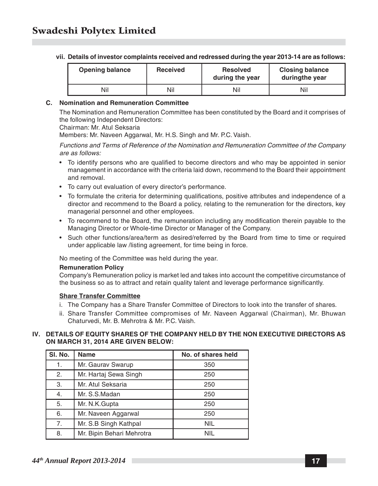|  |  | vii. Details of investor complaints received and redressed during the year 2013-14 are as follows: |  |
|--|--|----------------------------------------------------------------------------------------------------|--|
|--|--|----------------------------------------------------------------------------------------------------|--|

| <b>Opening balance</b> | <b>Received</b> | <b>Resolved</b><br>during the year | <b>Closing balance</b><br>duringthe year |
|------------------------|-----------------|------------------------------------|------------------------------------------|
| Nil                    | Nil             | Nil                                | Nil                                      |

#### **C. Nomination and Remuneration Committee**

The Nomination and Remuneration Committee has been constituted by the Board and it comprises of the following Independent Directors:

Chairman: Mr. Atul Seksaria

Members: Mr. Naveen Aggarwal, Mr. H.S. Singh and Mr. P.C. Vaish.

*Functions and Terms of Reference of the Nomination and Remuneration Committee of the Company are as follows:*

- To identify persons who are qualified to become directors and who may be appointed in senior management in accordance with the criteria laid down, recommend to the Board their appointment and removal.
- To carry out evaluation of every director's performance.
- To formulate the criteria for determining qualifications, positive attributes and independence of a director and recommend to the Board a policy, relating to the remuneration for the directors, key managerial personnel and other employees.
- To recommend to the Board, the remuneration including any modification therein payable to the Managing Director or Whole-time Director or Manager of the Company.
- Such other functions/area/term as desired/referred by the Board from time to time or required under applicable law /listing agreement, for time being in force.

No meeting of the Committee was held during the year.

#### **Remuneration Policy**

Company's Remuneration policy is market led and takes into account the competitive circumstance of the business so as to attract and retain quality talent and leverage performance significantly.

#### **Share Transfer Committee**

- i. The Company has a Share Transfer Committee of Directors to look into the transfer of shares.
- ii. Share Transfer Committee compromises of Mr. Naveen Aggarwal (Chairman), Mr. Bhuwan Chaturvedi, Mr. B. Mehrotra & Mr. P.C. Vaish.

#### **IV. DETAILS OF EQUITY SHARES OF THE COMPANY HELD BY THE NON EXECUTIVE DIRECTORS AS ON MARCH 31, 2014 ARE GIVEN BELOW:**

| SI. No. | <b>Name</b>               | No. of shares held |
|---------|---------------------------|--------------------|
| 1.      | Mr. Gaurav Swarup         | 350                |
| 2.      | Mr. Hartaj Sewa Singh     | 250                |
| 3.      | Mr. Atul Seksaria         | 250                |
| 4.      | Mr. S.S.Madan             | 250                |
| 5.      | Mr. N.K.Gupta             | 250                |
| 6.      | Mr. Naveen Aggarwal       | 250                |
| 7.      | Mr. S.B Singh Kathpal     | <b>NIL</b>         |
| 8.      | Mr. Bipin Behari Mehrotra | <b>NIL</b>         |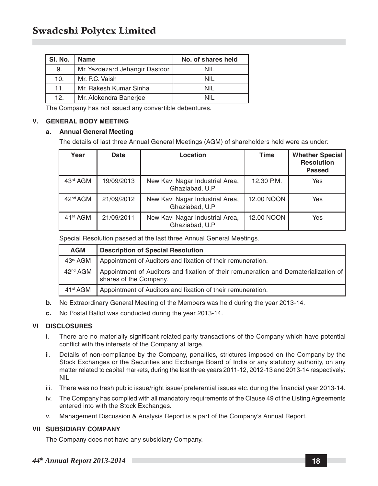| SI. No. | <b>Name</b>                    | No. of shares held |
|---------|--------------------------------|--------------------|
| 9.      | Mr. Yezdezard Jehangir Dastoor | NIL                |
| 10.     | Mr. P.C. Vaish                 | NII                |
| 11.     | Mr. Rakesh Kumar Sinha         | NII                |
| 12.     | Mr. Alokendra Banerjee         |                    |

The Company has not issued any convertible debentures.

#### **V. GENERAL BODY MEETING**

#### **a. Annual General Meeting**

The details of last three Annual General Meetings (AGM) of shareholders held were as under:

| Year                 | Date       | Location                                          | <b>Time</b> | <b>Whether Special</b><br><b>Resolution</b><br><b>Passed</b> |
|----------------------|------------|---------------------------------------------------|-------------|--------------------------------------------------------------|
| 43rd AGM             | 19/09/2013 | New Kavi Nagar Industrial Area,<br>Ghaziabad, U.P | 12.30 P.M.  | Yes                                                          |
| 42 <sup>nd</sup> AGM | 21/09/2012 | New Kavi Nagar Industrial Area,<br>Ghaziabad, U.P | 12.00 NOON  | Yes                                                          |
| 41 <sup>st</sup> AGM | 21/09/2011 | New Kavi Nagar Industrial Area,<br>Ghaziabad, U.P | 12.00 NOON  | Yes                                                          |

Special Resolution passed at the last three Annual General Meetings.

| <b>AGM</b>           | <b>Description of Special Resolution</b>                                                                      |
|----------------------|---------------------------------------------------------------------------------------------------------------|
| 43rd AGM             | Appointment of Auditors and fixation of their remuneration.                                                   |
| 42 <sup>nd</sup> AGM | Appointment of Auditors and fixation of their remuneration and Dematerialization of<br>shares of the Company. |
| 41 <sup>st</sup> AGM | Appointment of Auditors and fixation of their remuneration.                                                   |

- **b.** No Extraordinary General Meeting of the Members was held during the year 2013-14.
- **c.** No Postal Ballot was conducted during the year 2013-14.

#### **VI DISCLOSURES**

- i. There are no materially significant related party transactions of the Company which have potential conflict with the interests of the Company at large.
- ii. Details of non-compliance by the Company, penalties, strictures imposed on the Company by the Stock Exchanges or the Securities and Exchange Board of India or any statutory authority, on any matter related to capital markets, during the last three years 2011-12, 2012-13 and 2013-14 respectively: NIL
- iii. There was no fresh public issue/right issue/ preferential issues etc. during the financial year 2013-14.
- iv. The Company has complied with all mandatory requirements of the Clause 49 of the Listing Agreements entered into with the Stock Exchanges.
- v. Management Discussion & Analysis Report is a part of the Company's Annual Report.

#### **VII SUBSIDIARY COMPANY**

The Company does not have any subsidiary Company.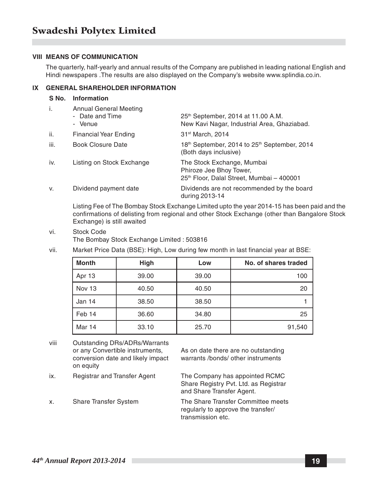#### **VIII MEANS OF COMMUNICATION**

The quarterly, half-yearly and annual results of the Company are published in leading national English and Hindi newspapers .The results are also displayed on the Company's website www.splindia.co.in.

#### **IX GENERAL SHAREHOLDER INFORMATION**

#### **S No. Information**

| i.   | Annual General Meeting<br>- Date and Time<br>- Venue | 25 <sup>th</sup> September, 2014 at 11.00 A.M.<br>New Kavi Nagar, Industrial Area, Ghaziabad.      |
|------|------------------------------------------------------|----------------------------------------------------------------------------------------------------|
| ii.  | <b>Financial Year Ending</b>                         | 31 <sup>st</sup> March, 2014                                                                       |
| iii. | Book Closure Date                                    | 18th September, 2014 to 25th September, 2014<br>(Both days inclusive)                              |
| iv.  | Listing on Stock Exchange                            | The Stock Exchange, Mumbai<br>Phiroze Jee Bhoy Tower,<br>25th Floor, Dalal Street, Mumbai - 400001 |
| V.   | Dividend payment date                                | Dividends are not recommended by the board<br>during 2013-14                                       |

Listing Fee of The Bombay Stock Exchange Limited upto the year 2014-15 has been paid and the confirmations of delisting from regional and other Stock Exchange (other than Bangalore Stock Exchange) is still awaited

- vi. Stock Code The Bombay Stock Exchange Limited : 503816
- vii. Market Price Data (BSE): High, Low during few month in last financial year at BSE:

| Month  | <b>High</b> | Low   | No. of shares traded |
|--------|-------------|-------|----------------------|
| Apr 13 | 39.00       | 39.00 | 100                  |
| Nov 13 | 40.50       | 40.50 | 20                   |
| Jan 14 | 38.50       | 38.50 |                      |
| Feb 14 | 36.60       | 34.80 | 25                   |
| Mar 14 | 33.10       | 25.70 | 91,540               |

viii Outstanding DRs/ADRs/Warrants on equity

or any Convertible instruments, As on date there are no outstanding conversion date and likely impact warrants /bonds/ other instruments

ix. Registrar and Transfer Agent The Company has appointed RCMC

Share Registry Pvt. Ltd. as Registrar and Share Transfer Agent.

x. Share Transfer System The Share Transfer Committee meets regularly to approve the transfer/ transmission etc.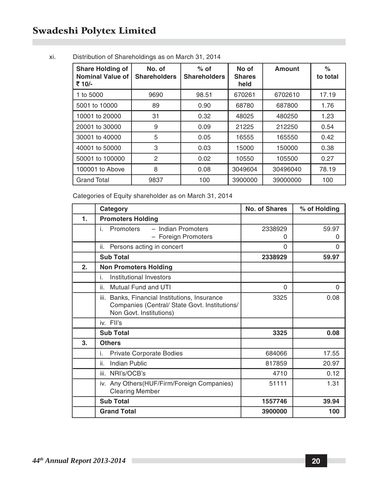| <b>Share Holding of</b><br><b>Nominal Value of</b><br>₹ 10/- | No. of<br><b>Shareholders</b> | $%$ of<br><b>Shareholders</b> | No of<br><b>Shares</b><br>held | Amount   | %<br>to total |
|--------------------------------------------------------------|-------------------------------|-------------------------------|--------------------------------|----------|---------------|
| 1 to 5000                                                    | 9690                          | 98.51                         | 670261                         | 6702610  | 17.19         |
| 5001 to 10000                                                | 89                            | 0.90                          | 68780                          | 687800   | 1.76          |
| 10001 to 20000                                               | 31                            | 0.32                          | 48025                          | 480250   | 1.23          |
| 20001 to 30000                                               | 9                             | 0.09                          | 21225                          | 212250   | 0.54          |
| 30001 to 40000                                               | 5                             | 0.05                          | 16555                          | 165550   | 0.42          |
| 40001 to 50000                                               | 3                             | 0.03                          | 15000                          | 150000   | 0.38          |
| 50001 to 100000                                              | 2                             | 0.02                          | 10550                          | 105500   | 0.27          |
| 100001 to Above                                              | 8                             | 0.08                          | 3049604                        | 30496040 | 78.19         |
| <b>Grand Total</b>                                           | 9837                          | 100                           | 3900000                        | 39000000 | 100           |

#### xi. Distribution of Shareholdings as on March 31, 2014

Categories of Equity shareholder as on March 31, 2014

|    | Category                                                                                                                     | No. of Shares | % of Holding |
|----|------------------------------------------------------------------------------------------------------------------------------|---------------|--------------|
| 1. | <b>Promoters Holding</b>                                                                                                     |               |              |
|    | - Indian Promoters<br>i.<br>Promoters<br>- Foreign Promoters                                                                 | 2338929<br>0  | 59.97<br>0   |
|    | ii.<br>Persons acting in concert                                                                                             | $\Omega$      | 0            |
|    | <b>Sub Total</b>                                                                                                             | 2338929       | 59.97        |
| 2. | <b>Non Promoters Holding</b>                                                                                                 |               |              |
|    | Institutional Investors<br>İ.                                                                                                |               |              |
|    | Mutual Fund and UTI<br>ii.                                                                                                   | $\Omega$      | $\Omega$     |
|    | Banks, Financial Institutions, Insurance<br>iii.<br>Companies (Central/ State Govt. Institutions/<br>Non Govt. Institutions) | 3325          | 0.08         |
|    | iv. Fll's                                                                                                                    |               |              |
|    | <b>Sub Total</b>                                                                                                             | 3325          | 0.08         |
| 3. | <b>Others</b>                                                                                                                |               |              |
|    | i.<br>Private Corporate Bodies                                                                                               | 684066        | 17.55        |
|    | ii.<br>Indian Public                                                                                                         | 817859        | 20.97        |
|    | iii. NRI's/OCB's                                                                                                             | 4710          | 0.12         |
|    | iv. Any Others (HUF/Firm/Foreign Companies)<br><b>Clearing Member</b>                                                        | 51111         | 1.31         |
|    | <b>Sub Total</b>                                                                                                             | 1557746       | 39.94        |
|    | <b>Grand Total</b>                                                                                                           | 3900000       | 100          |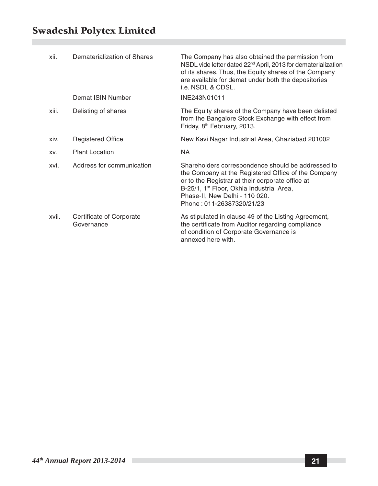| xii.  | Dematerialization of Shares            | The Company has also obtained the permission from<br>NSDL vide letter dated 22 <sup>nd</sup> April, 2013 for dematerialization<br>of its shares. Thus, the Equity shares of the Company<br>are available for demat under both the depositories<br>i.e. NSDL & CDSL.                   |
|-------|----------------------------------------|---------------------------------------------------------------------------------------------------------------------------------------------------------------------------------------------------------------------------------------------------------------------------------------|
|       | Demat ISIN Number                      | INE243N01011                                                                                                                                                                                                                                                                          |
| xiii. | Delisting of shares                    | The Equity shares of the Company have been delisted<br>from the Bangalore Stock Exchange with effect from<br>Friday, 8 <sup>th</sup> February, 2013.                                                                                                                                  |
| xiv.  | <b>Registered Office</b>               | New Kavi Nagar Industrial Area, Ghaziabad 201002                                                                                                                                                                                                                                      |
| XV.   | <b>Plant Location</b>                  | NA.                                                                                                                                                                                                                                                                                   |
| xvi.  | Address for communication              | Shareholders correspondence should be addressed to<br>the Company at the Registered Office of the Company<br>or to the Registrar at their corporate office at<br>B-25/1, 1 <sup>st</sup> Floor, Okhla Industrial Area,<br>Phase-II, New Delhi - 110 020.<br>Phone: 011-26387320/21/23 |
| xvii. | Certificate of Corporate<br>Governance | As stipulated in clause 49 of the Listing Agreement,<br>the certificate from Auditor regarding compliance<br>of condition of Corporate Governance is<br>annexed here with.                                                                                                            |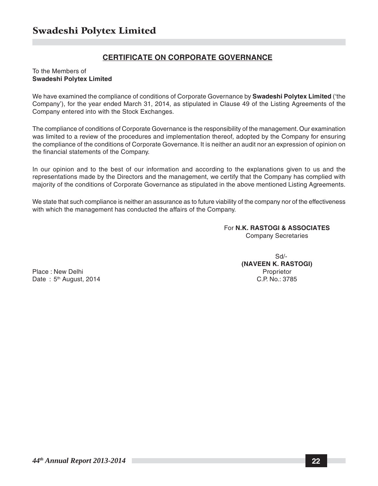#### **CERTIFICATE ON CORPORATE GOVERNANCE**

#### To the Members of **Swadeshi Polytex Limited**

We have examined the compliance of conditions of Corporate Governance by **Swadeshi Polytex Limited** ('the Company'), for the year ended March 31, 2014, as stipulated in Clause 49 of the Listing Agreements of the Company entered into with the Stock Exchanges.

The compliance of conditions of Corporate Governance is the responsibility of the management. Our examination was limited to a review of the procedures and implementation thereof, adopted by the Company for ensuring the compliance of the conditions of Corporate Governance. It is neither an audit nor an expression of opinion on the financial statements of the Company.

In our opinion and to the best of our information and according to the explanations given to us and the representations made by the Directors and the management, we certify that the Company has complied with majority of the conditions of Corporate Governance as stipulated in the above mentioned Listing Agreements.

We state that such compliance is neither an assurance as to future viability of the company nor of the effectiveness with which the management has conducted the affairs of the Company.

> For **N.K. RASTOGI & ASSOCIATES** Company Secretaries

> > Sd/- **(NAVEEN K. RASTOGI)**

Place : New Delhi **Proprietor** Proprietor **Proprietor** Date : 5<sup>th</sup> August, 2014 **C.P. No.: 3785**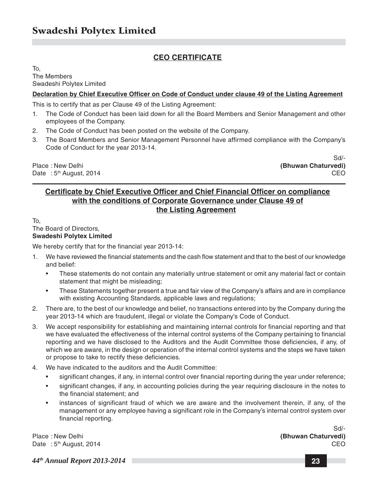#### **CEO CERTIFICATE**

To, The Members Swadeshi Polytex Limited

#### **Declaration by Chief Executive Officer on Code of Conduct under clause 49 of the Listing Agreement**

This is to certify that as per Clause 49 of the Listing Agreement:

- 1. The Code of Conduct has been laid down for all the Board Members and Senior Management and other employees of the Company.
- 2. The Code of Conduct has been posted on the website of the Company.
- 3. The Board Members and Senior Management Personnel have affirmed compliance with the Company's Code of Conduct for the year 2013-14.

Place : New Delhi **(Bhuwan Chaturvedi)** Date : 5<sup>th</sup> August, 2014 **CEO** 

Sd/-

#### **Certificate by Chief Executive Officer and Chief Financial Officer on compliance with the conditions of Corporate Governance under Clause 49 of the Listing Agreement**

To,

#### The Board of Directors,

#### **Swadeshi Polytex Limited**

We hereby certify that for the financial year 2013-14:

- 1. We have reviewed the financial statements and the cash flow statement and that to the best of our knowledge and belief:
	- These statements do not contain any materially untrue statement or omit any material fact or contain statement that might be misleading;
	- These Statements together present a true and fair view of the Company's affairs and are in compliance with existing Accounting Standards, applicable laws and regulations;
- 2. There are, to the best of our knowledge and belief, no transactions entered into by the Company during the year 2013-14 which are fraudulent, illegal or violate the Company's Code of Conduct.
- 3. We accept responsibility for establishing and maintaining internal controls for financial reporting and that we have evaluated the effectiveness of the internal control systems of the Company pertaining to financial reporting and we have disclosed to the Auditors and the Audit Committee those deficiencies, if any, of which we are aware, in the design or operation of the internal control systems and the steps we have taken or propose to take to rectify these deficiencies.
- 4. We have indicated to the auditors and the Audit Committee:
	- significant changes, if any, in internal control over financial reporting during the year under reference;
	- significant changes, if any, in accounting policies during the year requiring disclosure in the notes to the financial statement; and
	- instances of significant fraud of which we are aware and the involvement therein, if any, of the management or any employee having a significant role in the Company's internal control system over financial reporting.

Place : New Delhi **(Bhuwan Chaturvedi)** Date : 5<sup>th</sup> August, 2014 **CEO** 

Sd/-

*44th Annual Report 2013-2014* **23**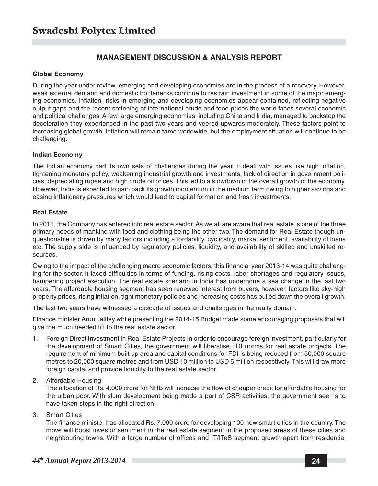#### **MANAGEMENT DISCUSSION & ANALYSIS REPORT**

#### **Global Economy**

During the year under review, emerging and developing economies are in the process of a recovery. However, weak external demand and domestic bottlenecks continue to restrain investment in some of the major emerging economies. Inflation risks in emerging and developing economies appear contained, reflecting negative output gaps and the recent softening of international crude and food prices the world faces several economic and political challenges. A few large emerging economies, including China and India, managed to backstop the deceleration they experienced in the past two years and veered upwards moderately. These factors point to increasing global growth. Inflation will remain tame worldwide, but the employment situation will continue to be challenging.

#### **Indian Economy**

The Indian economy had its own sets of challenges during the year. It dealt with issues like high inflation, tightening monetary policy, weakening industrial growth and investments, lack of direction in government policies, depreciating rupee and high crude oil prices. This led to a slowdown in the overall growth of the economy. However, India is expected to gain back its growth momentum in the medium term owing to higher savings and easing inflationary pressures which would lead to capital formation and fresh investments.

#### **Real Estate**

In 2011, the Company has entered into real estate sector. As we all are aware that real estate is one of the three primary needs of mankind with food and clothing being the other two. The demand for Real Estate though unquestionable is driven by many factors including affordability, cyclicality, market sentiment, availability of loans etc. The supply side is influenced by regulatory policies, liquidity, and availability of skilled and unskilled resources.

Owing to the impact of the challenging macro economic factors, this financial year 2013-14 was quite challenging for the sector. It faced difficulties in terms of funding, rising costs, labor shortages and regulatory issues, hampering project execution. The real estate scenario in India has undergone a sea change in the last two years. The affordable housing segment has seen renewed interest from buyers, however, factors like sky-high property prices, rising inflation, tight monetary policies and increasing costs has pulled down the overall growth.

The last two years have witnessed a cascade of issues and challenges in the realty domain.

Finance minister Arun Jaitley while presenting the 2014-15 Budget made some encouraging proposals that will give the much needed lift to the real estate sector.

- 1. Foreign Direct Investment in Real Estate Projects In order to encourage foreign investment, particularly for the development of Smart Cities, the government will liberalise FDI norms for real estate projects. The requirement of minimum built up area and capital conditions for FDI is being reduced from 50,000 square metres to 20,000 square metres and from USD 10 million to USD 5 million respectively. This will draw more foreign capital and provide liquidity to the real estate sector.
- 2. Affordable Housing

The allocation of Rs. 4,000 crore for NHB will increase the flow of cheaper credit for affordable housing for the urban poor. With slum development being made a part of CSR activities, the government seems to have taken steps in the right direction.

3. Smart Cities

The finance minister has allocated Rs. 7,060 crore for developing 100 new smart cities in the country. The move will boost investor sentiment in the real estate segment in the proposed areas of these cities and neighbouring towns. With a large number of offices and IT/ITeS segment growth apart from residential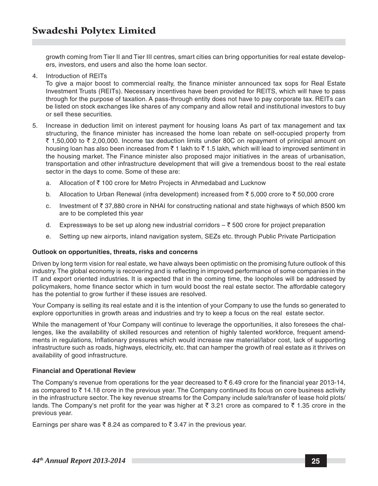growth coming from Tier II and Tier III centres, smart cities can bring opportunities for real estate developers, investors, end users and also the home loan sector.

4. Introduction of REITs

To give a major boost to commercial realty, the finance minister announced tax sops for Real Estate Investment Trusts (REITs). Necessary incentives have been provided for REITS, which will have to pass through for the purpose of taxation. A pass-through entity does not have to pay corporate tax. REITs can be listed on stock exchanges like shares of any company and allow retail and institutional investors to buy or sell these securities.

- 5. Increase in deduction limit on interest payment for housing loans As part of tax management and tax structuring, the finance minister has increased the home loan rebate on self-occupied property from ₹ 1,50,000 to ₹ 2,00,000. Income tax deduction limits under 80C on repayment of principal amount on housing loan has also been increased from  $\bar{\tau}$  1 lakh to  $\bar{\tau}$  1.5 lakh, which will lead to improved sentiment in the housing market. The Finance minister also proposed major initiatives in the areas of urbanisation, transportation and other infrastructure development that will give a tremendous boost to the real estate sector in the days to come. Some of these are:
	- a. Allocation of  $\bar{\tau}$  100 crore for Metro Projects in Ahmedabad and Lucknow
	- b. Allocation to Urban Renewal (infra development) increased from  $\bar{z}$  5,000 crore to  $\bar{z}$  50,000 crore
	- c. Investment of  $\bar{\tau}$  37,880 crore in NHAI for constructing national and state highways of which 8500 km are to be completed this year
	- d. Expressways to be set up along new industrial corridors  $-\bar{\tau}$  500 crore for project preparation
	- e. Setting up new airports, inland navigation system, SEZs etc. through Public Private Participation

#### **Outlook on opportunities, threats, risks and concerns**

Driven by long term vision for real estate, we have always been optimistic on the promising future outlook of this industry. The global economy is recovering and is reflecting in improved performance of some companies in the IT and export oriented industries. It is expected that in the coming time, the loopholes will be addressed by policymakers, home finance sector which in turn would boost the real estate sector. The affordable category has the potential to grow further if these issues are resolved.

Your Company is selling its real estate and it is the intention of your Company to use the funds so generated to explore opportunities in growth areas and industries and try to keep a focus on the real estate sector.

While the management of Your Company will continue to leverage the opportunities, it also foresees the challenges, like the availability of skilled resources and retention of highly talented workforce, frequent amendments in regulations, Inflationary pressures which would increase raw material/labor cost, lack of supporting infrastructure such as roads, highways, electricity, etc. that can hamper the growth of real estate as it thrives on availability of good infrastructure.

#### **Financial and Operational Review**

The Company's revenue from operations for the year decreased to  $\bar{\tau}$  6.49 crore for the financial year 2013-14, as compared to  $\bar{\tau}$  14.18 crore in the previous year. The Company continued its focus on core business activity in the infrastructure sector. The key revenue streams for the Company include sale/transfer of lease hold plots/ lands. The Company's net profit for the year was higher at  $\bar{\tau}$  3.21 crore as compared to  $\bar{\tau}$  1.35 crore in the previous year.

Earnings per share was  $\bar{\tau}$  8.24 as compared to  $\bar{\tau}$  3.47 in the previous year.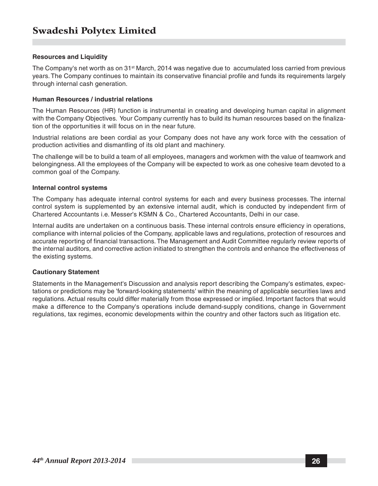#### **Resources and Liquidity**

The Company's net worth as on 31<sup>st</sup> March, 2014 was negative due to accumulated loss carried from previous years. The Company continues to maintain its conservative financial profile and funds its requirements largely through internal cash generation.

#### **Human Resources / industrial relations**

The Human Resources (HR) function is instrumental in creating and developing human capital in alignment with the Company Objectives. Your Company currently has to build its human resources based on the finalization of the opportunities it will focus on in the near future.

Industrial relations are been cordial as your Company does not have any work force with the cessation of production activities and dismantling of its old plant and machinery.

The challenge will be to build a team of all employees, managers and workmen with the value of teamwork and belongingness. All the employees of the Company will be expected to work as one cohesive team devoted to a common goal of the Company.

#### **Internal control systems**

The Company has adequate internal control systems for each and every business processes. The internal control system is supplemented by an extensive internal audit, which is conducted by independent firm of Chartered Accountants i.e. Messer's KSMN & Co., Chartered Accountants, Delhi in our case.

Internal audits are undertaken on a continuous basis. These internal controls ensure efficiency in operations, compliance with internal policies of the Company, applicable laws and regulations, protection of resources and accurate reporting of financial transactions. The Management and Audit Committee regularly review reports of the internal auditors, and corrective action initiated to strengthen the controls and enhance the effectiveness of the existing systems.

#### **Cautionary Statement**

Statements in the Management's Discussion and analysis report describing the Company's estimates, expectations or predictions may be 'forward-looking statements' within the meaning of applicable securities laws and regulations. Actual results could differ materially from those expressed or implied. Important factors that would make a difference to the Company's operations include demand-supply conditions, change in Government regulations, tax regimes, economic developments within the country and other factors such as litigation etc.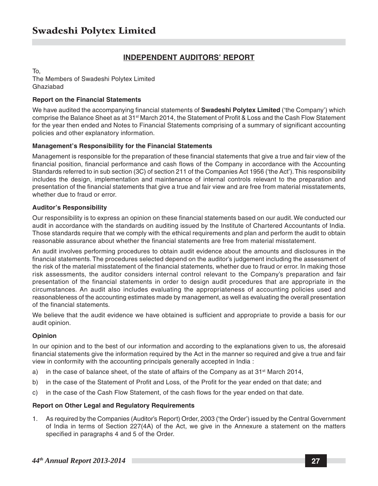### **INDEPENDENT AUDITORS' REPORT**

To, The Members of Swadeshi Polytex Limited Ghaziabad

#### **Report on the Financial Statements**

We have audited the accompanying financial statements of **Swadeshi Polytex Limited** ('the Company') which comprise the Balance Sheet as at 31st March 2014, the Statement of Profit & Loss and the Cash Flow Statement for the year then ended and Notes to Financial Statements comprising of a summary of significant accounting policies and other explanatory information.

#### **Management's Responsibility for the Financial Statements**

Management is responsible for the preparation of these financial statements that give a true and fair view of the financial position, financial performance and cash flows of the Company in accordance with the Accounting Standards referred to in sub section (3C) of section 211 of the Companies Act 1956 ('the Act'). This responsibility includes the design, implementation and maintenance of internal controls relevant to the preparation and presentation of the financial statements that give a true and fair view and are free from material misstatements, whether due to fraud or error.

#### **Auditor's Responsibility**

Our responsibility is to express an opinion on these financial statements based on our audit. We conducted our audit in accordance with the standards on auditing issued by the Institute of Chartered Accountants of India. Those standards require that we comply with the ethical requirements and plan and perform the audit to obtain reasonable assurance about whether the financial statements are free from material misstatement.

An audit involves performing procedures to obtain audit evidence about the amounts and disclosures in the financial statements. The procedures selected depend on the auditor's judgement including the assessment of the risk of the material misstatement of the financial statements, whether due to fraud or error. In making those risk assessments, the auditor considers internal control relevant to the Company's preparation and fair presentation of the financial statements in order to design audit procedures that are appropriate in the circumstances. An audit also includes evaluating the appropriateness of accounting policies used and reasonableness of the accounting estimates made by management, as well as evaluating the overall presentation of the financial statements.

We believe that the audit evidence we have obtained is sufficient and appropriate to provide a basis for our audit opinion.

#### **Opinion**

In our opinion and to the best of our information and according to the explanations given to us, the aforesaid financial statements give the information required by the Act in the manner so required and give a true and fair view in conformity with the accounting principals generally accepted in India :

- a) in the case of balance sheet, of the state of affairs of the Company as at  $31^{st}$  March 2014,
- b) in the case of the Statement of Profit and Loss, of the Profit for the year ended on that date; and
- c) in the case of the Cash Flow Statement, of the cash flows for the year ended on that date.

#### **Report on Other Legal and Regulatory Requirements**

1. As required by the Companies (Auditor's Report) Order, 2003 ('the Order') issued by the Central Government of India in terms of Section 227(4A) of the Act, we give in the Annexure a statement on the matters specified in paragraphs 4 and 5 of the Order.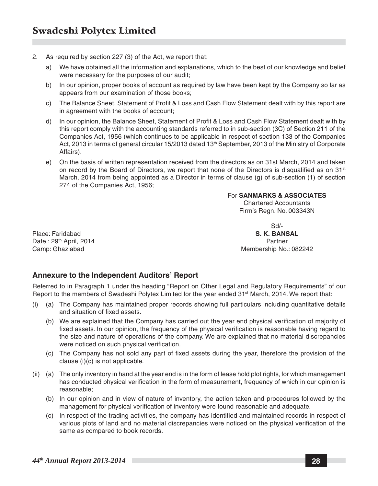- 2. As required by section 227 (3) of the Act, we report that:
	- a) We have obtained all the information and explanations, which to the best of our knowledge and belief were necessary for the purposes of our audit;
	- b) In our opinion, proper books of account as required by law have been kept by the Company so far as appears from our examination of those books;
	- c) The Balance Sheet, Statement of Profit & Loss and Cash Flow Statement dealt with by this report are in agreement with the books of account;
	- d) In our opinion, the Balance Sheet, Statement of Profit & Loss and Cash Flow Statement dealt with by this report comply with the accounting standards referred to in sub-section (3C) of Section 211 of the Companies Act, 1956 (which continues to be applicable in respect of section 133 of the Companies Act, 2013 in terms of general circular 15/2013 dated 13<sup>th</sup> September, 2013 of the Ministry of Corporate Affairs).
	- e) On the basis of written representation received from the directors as on 31st March, 2014 and taken on record by the Board of Directors, we report that none of the Directors is disqualified as on  $31<sup>st</sup>$ March, 2014 from being appointed as a Director in terms of clause (g) of sub-section (1) of section 274 of the Companies Act, 1956;

#### For **SANMARKS & ASSOCIATES** Chartered Accountants

Firm's Regn. No. 003343N

Place: Faridabad **S. K. BANSAL** Date : 29<sup>th</sup> April, 2014 **Partner** Partner Partner Partner Partner Partner Partner

Sd/- Camp: Ghaziabad Membership No.: 082242

#### **Annexure to the Independent Auditors' Report**

Referred to in Paragraph 1 under the heading "Report on Other Legal and Regulatory Requirements" of our Report to the members of Swadeshi Polytex Limited for the year ended 31<sup>st</sup> March, 2014. We report that:

- (i) (a) The Company has maintained proper records showing full particulars including quantitative details and situation of fixed assets.
	- (b) We are explained that the Company has carried out the year end physical verification of majority of fixed assets. In our opinion, the frequency of the physical verification is reasonable having regard to the size and nature of operations of the company. We are explained that no material discrepancies were noticed on such physical verification.
	- (c) The Company has not sold any part of fixed assets during the year, therefore the provision of the clause (i)(c) is not applicable.
- (ii) (a) The only inventory in hand at the year end is in the form of lease hold plot rights, for which management has conducted physical verification in the form of measurement, frequency of which in our opinion is reasonable;
	- (b) In our opinion and in view of nature of inventory, the action taken and procedures followed by the management for physical verification of inventory were found reasonable and adequate.
	- (c) In respect of the trading activities, the company has identified and maintained records in respect of various plots of land and no material discrepancies were noticed on the physical verification of the same as compared to book records.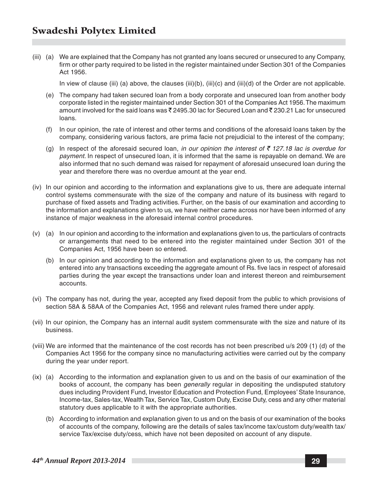(iii) (a) We are explained that the Company has not granted any loans secured or unsecured to any Company, firm or other party required to be listed in the register maintained under Section 301 of the Companies Act 1956.

In view of clause (iii) (a) above, the clauses (iii)(b), (iii)(c) and (iii)(d) of the Order are not applicable.

- (e) The company had taken secured loan from a body corporate and unsecured loan from another body corporate listed in the register maintained under Section 301 of the Companies Act 1956. The maximum amount involved for the said loans was  $\bar{\xi}$  2495.30 lac for Secured Loan and  $\bar{\xi}$  230.21 Lac for unsecured loans.
- (f) In our opinion, the rate of interest and other terms and conditions of the aforesaid loans taken by the company, considering various factors, are prima facie not prejudicial to the interest of the company;
- (g) In respect of the aforesaid secured loan, *in our opinion the interest of*  $\bar{\tau}$  127.18 lac is overdue for *payment*. In respect of unsecured loan, it is informed that the same is repayable on demand. We are also informed that no such demand was raised for repayment of aforesaid unsecured loan during the year and therefore there was no overdue amount at the year end.
- (iv) In our opinion and according to the information and explanations give to us, there are adequate internal control systems commensurate with the size of the company and nature of its business with regard to purchase of fixed assets and Trading activities. Further, on the basis of our examination and according to the information and explanations given to us, we have neither came across nor have been informed of any instance of major weakness in the aforesaid internal control procedures.
- (v) (a) In our opinion and according to the information and explanations given to us, the particulars of contracts or arrangements that need to be entered into the register maintained under Section 301 of the Companies Act, 1956 have been so entered.
	- (b) In our opinion and according to the information and explanations given to us, the company has not entered into any transactions exceeding the aggregate amount of Rs. five lacs in respect of aforesaid parties during the year except the transactions under loan and interest thereon and reimbursement accounts.
- (vi) The company has not, during the year, accepted any fixed deposit from the public to which provisions of section 58A & 58AA of the Companies Act, 1956 and relevant rules framed there under apply.
- (vii) In our opinion, the Company has an internal audit system commensurate with the size and nature of its business.
- (viii) We are informed that the maintenance of the cost records has not been prescribed u/s 209 (1) (d) of the Companies Act 1956 for the company since no manufacturing activities were carried out by the company during the year under report.
- (ix) (a) According to the information and explanation given to us and on the basis of our examination of the books of account, the company has been *generally* regular in depositing the undisputed statutory dues including Provident Fund, Investor Education and Protection Fund, Employees' State Insurance, Income-tax, Sales-tax, Wealth Tax, Service Tax, Custom Duty, Excise Duty, cess and any other material statutory dues applicable to it with the appropriate authorities.
	- (b) According to information and explanation given to us and on the basis of our examination of the books of accounts of the company, following are the details of sales tax/income tax/custom duty/wealth tax/ service Tax/excise duty/cess, which have not been deposited on account of any dispute.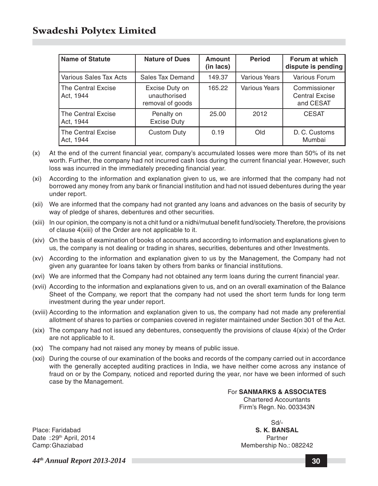| <b>Name of Statute</b>          | <b>Nature of Dues</b>                              | Amount<br>(in lacs) | <b>Period</b>        | Forum at which<br>dispute is pending               |
|---------------------------------|----------------------------------------------------|---------------------|----------------------|----------------------------------------------------|
| Various Sales Tax Acts          | Sales Tax Demand                                   | 149.37              | Various Years        | Various Forum                                      |
| The Central Excise<br>Act, 1944 | Excise Duty on<br>unauthorised<br>removal of goods | 165.22              | <b>Various Years</b> | Commissioner<br><b>Central Excise</b><br>and CESAT |
| The Central Excise<br>Act, 1944 | Penalty on<br><b>Excise Duty</b>                   | 25.00               | 2012                 | <b>CESAT</b>                                       |
| The Central Excise<br>Act. 1944 | Custom Duty                                        | 0.19                | Old                  | D. C. Customs<br>Mumbai                            |

- (x) At the end of the current financial year, company's accumulated losses were more than 50% of its net worth. Further, the company had not incurred cash loss during the current financial year. However, such loss was incurred in the immediately preceding financial year.
- (xi) According to the information and explanation given to us, we are informed that the company had not borrowed any money from any bank or financial institution and had not issued debentures during the year under report.
- (xii) We are informed that the company had not granted any loans and advances on the basis of security by way of pledge of shares, debentures and other securities.
- (xiii) In our opinion, the company is not a chit fund or a nidhi/mutual benefit fund/society. Therefore, the provisions of clause 4(xiii) of the Order are not applicable to it.
- (xiv) On the basis of examination of books of accounts and according to information and explanations given to us, the company is not dealing or trading in shares, securities, debentures and other Investments.
- (xv) According to the information and explanation given to us by the Management, the Company had not given any guarantee for loans taken by others from banks or financial institutions.
- (xvi) We are informed that the Company had not obtained any term loans during the current financial year.
- (xvii) According to the information and explanations given to us, and on an overall examination of the Balance Sheet of the Company, we report that the company had not used the short term funds for long term investment during the year under report.
- (xviii) According to the information and explanation given to us, the company had not made any preferential allotment of shares to parties or companies covered in register maintained under Section 301 of the Act.
- (xix) The company had not issued any debentures, consequently the provisions of clause 4(xix) of the Order are not applicable to it.
- (xx) The company had not raised any money by means of public issue.
- (xxi) During the course of our examination of the books and records of the company carried out in accordance with the generally accepted auditing practices in India, we have neither come across any instance of fraud on or by the Company, noticed and reported during the year, nor have we been informed of such case by the Management.

For **SANMARKS & ASSOCIATES** Chartered Accountants Firm's Regn. No. 003343N

Sd/-

Place: Faridabad **S. K. BANSAL** Date :29<sup>th</sup> April, 2014 **Partner** Partner **Partner** Partner Camp:Ghaziabad Membership No.: 082242

*44th Annual Report 2013-2014* **30**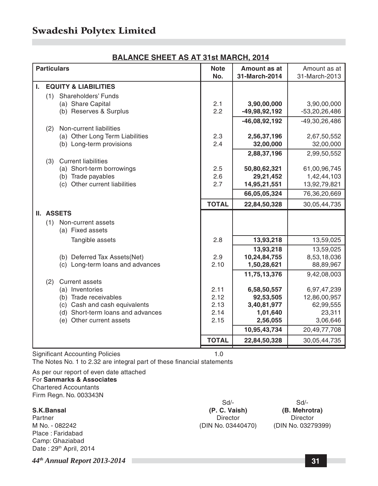#### **BALANCE SHEET AS AT 31st MARCH, 2014**

|    | <b>Particulars</b> |                                                         | <b>Note</b>  | Amount as at              | Amount as at                |
|----|--------------------|---------------------------------------------------------|--------------|---------------------------|-----------------------------|
|    |                    |                                                         | No.          | 31-March-2014             | 31-March-2013               |
| L. |                    | <b>EQUITY &amp; LIABILITIES</b>                         |              |                           |                             |
|    | (1)                | Shareholders' Funds                                     |              |                           |                             |
|    |                    | (a) Share Capital                                       | 2.1          | 3,90,00,000               | 3,90,00,000                 |
|    |                    | (b) Reserves & Surplus                                  | 2.2          | $-49,98,92,192$           | $-53,20,26,486$             |
|    |                    |                                                         |              | $-46,08,92,192$           | -49,30,26,486               |
|    | (2)                | Non-current liabilities                                 |              |                           |                             |
|    |                    | (a) Other Long Term Liabilities                         | 2.3          | 2,56,37,196               | 2,67,50,552                 |
|    |                    | (b) Long-term provisions                                | 2.4          | 32,00,000                 | 32,00,000                   |
|    |                    |                                                         |              | 2,88,37,196               | 2,99,50,552                 |
|    | (3)                | <b>Current liabilities</b><br>(a) Short-term borrowings | 2.5          |                           |                             |
|    |                    | (b) Trade payables                                      | 2.6          | 50,80,62,321<br>29,21,452 | 61,00,96,745<br>1,42,44,103 |
|    |                    | (c) Other current liabilities                           | 2.7          | 14,95,21,551              | 13,92,79,821                |
|    |                    |                                                         |              | 66,05,05,324              | 76,36,20,669                |
|    |                    |                                                         | <b>TOTAL</b> | 22,84,50,328              | 30,05,44,735                |
|    |                    | II. ASSETS                                              |              |                           |                             |
|    | (1)                | Non-current assets                                      |              |                           |                             |
|    |                    | (a) Fixed assets                                        |              |                           |                             |
|    |                    | Tangible assets                                         | 2.8          | 13,93,218                 | 13,59,025                   |
|    |                    |                                                         |              | 13,93,218                 | 13,59,025                   |
|    |                    | (b) Deferred Tax Assets (Net)                           | 2.9          | 10,24,84,755              | 8,53,18,036                 |
|    |                    | (c) Long-term loans and advances                        | 2.10         | 1,50,28,621               | 88,89,967                   |
|    |                    |                                                         |              | 11,75,13,376              | 9,42,08,003                 |
|    | (2)                | <b>Current assets</b>                                   |              |                           |                             |
|    |                    | (a) Inventories                                         | 2.11<br>2.12 | 6,58,50,557               | 6,97,47,239                 |
|    |                    | (b) Trade receivables<br>(c) Cash and cash equivalents  | 2.13         | 92,53,505<br>3,40,81,977  | 12,86,00,957<br>62,99,555   |
|    |                    | (d) Short-term loans and advances                       | 2.14         | 1,01,640                  | 23,311                      |
|    |                    | (e) Other current assets                                | 2.15         | 2,56,055                  | 3,06,646                    |
|    |                    |                                                         |              | 10,95,43,734              | 20,49,77,708                |
|    |                    |                                                         | <b>TOTAL</b> | 22,84,50,328              | 30,05,44,735                |
|    |                    |                                                         |              |                           |                             |

Significant Accounting Policies 1.0 The Notes No. 1 to 2.32 are integral part of these financial statements

As per our report of even date attached For **Sanmarks & Associates** Chartered Accountants Firm Regn. No. 003343N

Partner Director Director Director Director Director Director Director Director M No. - 082242 (DIN No. 03440470) (DIN No. 03279399) Place : Faridabad Camp: Ghaziabad Date: 29<sup>th</sup> April, 2014

S.K.Bansal (P. C. Vaish)

Sd/-<br>
Sd/-<br> **C. Vaish)** (B. Mehrotra)

*44th Annual Report 2013-2014* **31**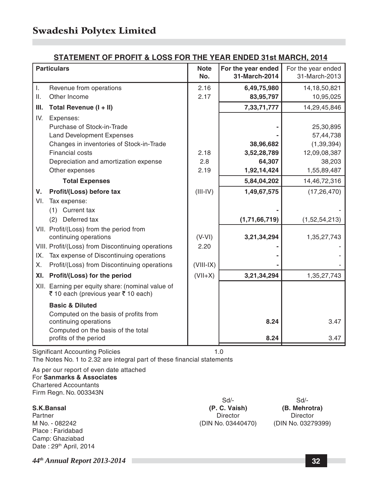#### **STATEMENT OF PROFIT & LOSS FOR THE YEAR ENDED 31st MARCH, 2014**

|         | <b>Particulars</b>                                                                      | <b>Note</b> | For the year ended | For the year ended |
|---------|-----------------------------------------------------------------------------------------|-------------|--------------------|--------------------|
|         |                                                                                         | No.         | 31-March-2014      | 31-March-2013      |
| Τ.      | Revenue from operations                                                                 | 2.16        | 6,49,75,980        | 14, 18, 50, 821    |
| $\Pi$ . | Other Income                                                                            | 2.17        | 83,95,797          | 10,95,025          |
| III.    | Total Revenue (I + II)                                                                  |             | 7,33,71,777        | 14,29,45,846       |
| IV.     | Expenses:                                                                               |             |                    |                    |
|         | Purchase of Stock-in-Trade                                                              |             |                    | 25,30,895          |
|         | <b>Land Development Expenses</b>                                                        |             |                    | 57,44,738          |
|         | Changes in inventories of Stock-in-Trade                                                |             | 38,96,682          | (1, 39, 394)       |
|         | Financial costs                                                                         | 2.18        | 3,52,28,789        | 12,09,08,387       |
|         | Depreciation and amortization expense                                                   | 2.8         | 64,307             | 38,203             |
|         | Other expenses                                                                          | 2.19        | 1,92,14,424        | 1,55,89,487        |
|         | <b>Total Expenses</b>                                                                   |             | 5,84,04,202        | 14,46,72,316       |
| V.      | Profit/(Loss) before tax                                                                | $(III-IV)$  | 1,49,67,575        | (17, 26, 470)      |
| VI.     | Tax expense:                                                                            |             |                    |                    |
|         | Current tax<br>(1)                                                                      |             |                    |                    |
|         | Deferred tax<br>(2)                                                                     |             | (1,71,66,719)      | (1,52,54,213)      |
|         | VII. Profit/(Loss) from the period from                                                 |             |                    |                    |
|         | continuing operations                                                                   | $(V-VI)$    | 3,21,34,294        | 1,35,27,743        |
|         | VIII. Profit/(Loss) from Discontinuing operations                                       | 2.20        |                    |                    |
| IX.     | Tax expense of Discontinuing operations                                                 |             |                    |                    |
| Χ.      | Profit/(Loss) from Discontinuing operations                                             | $(VIII-IX)$ |                    |                    |
| XI.     | Profit/(Loss) for the period                                                            | $(VII+X)$   | 3,21,34,294        | 1,35,27,743        |
|         | XII. Earning per equity share: (nominal value of<br>₹ 10 each (previous year ₹ 10 each) |             |                    |                    |
|         | <b>Basic &amp; Diluted</b>                                                              |             |                    |                    |
|         | Computed on the basis of profits from                                                   |             |                    |                    |
|         | continuing operations                                                                   |             | 8.24               | 3.47               |
|         | Computed on the basis of the total                                                      |             |                    |                    |
|         | profits of the period                                                                   |             | 8.24               | 3.47               |

Significant Accounting Policies 1.0 The Notes No. 1 to 2.32 are integral part of these financial statements

As per our report of even date attached For **Sanmarks & Associates** Chartered Accountants Firm Regn. No. 003343N

Partner Director Director Director Director Director Director Director Director M No. - 082242 (DIN No. 03440470) (DIN No. 03279399) Place : Faridabad Camp: Ghaziabad Date: 29<sup>th</sup> April, 2014

**S.K.Bansal (P. C. Vaish) (B. Mehrotra)**

Sd/- Sd/-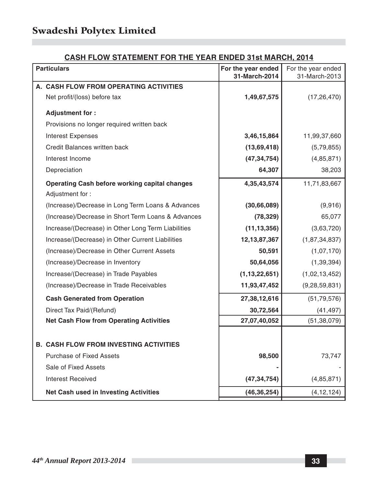#### **CASH FLOW STATEMENT FOR THE YEAR ENDED 31st MARCH, 2014**

| <b>Particulars</b>                                 | For the year ended<br>31-March-2014 | For the year ended<br>31-March-2013 |
|----------------------------------------------------|-------------------------------------|-------------------------------------|
| A. CASH FLOW FROM OPERATING ACTIVITIES             |                                     |                                     |
| Net profit/(loss) before tax                       | 1,49,67,575                         | (17, 26, 470)                       |
| Adjustment for:                                    |                                     |                                     |
| Provisions no longer required written back         |                                     |                                     |
| <b>Interest Expenses</b>                           | 3,46,15,864                         | 11,99,37,660                        |
| Credit Balances written back                       | (13,69,418)                         | (5,79,855)                          |
| Interest Income                                    | (47, 34, 754)                       | (4,85,871)                          |
| Depreciation                                       | 64,307                              | 38,203                              |
| Operating Cash before working capital changes      | 4,35,43,574                         | 11,71,83,667                        |
| Adjustment for:                                    |                                     |                                     |
| (Increase)/Decrease in Long Term Loans & Advances  | (30,66,089)                         | (9,916)                             |
| (Increase)/Decrease in Short Term Loans & Advances | (78, 329)                           | 65,077                              |
| Increase/(Decrease) in Other Long Term Liabilities | (11, 13, 356)                       | (3,63,720)                          |
| Increase/(Decrease) in Other Current Liabilities   | 12, 13, 87, 367                     | (1,87,34,837)                       |
| (Increase)/Decrease in Other Current Assets        | 50,591                              | (1,07,170)                          |
| (Increase)/Decrease in Inventory                   | 50,64,056                           | (1, 39, 394)                        |
| Increase/(Decrease) in Trade Payables              | (1, 13, 22, 651)                    | (1,02,13,452)                       |
| (Increase)/Decrease in Trade Receivables           | 11,93,47,452                        | (9, 28, 59, 831)                    |
| <b>Cash Generated from Operation</b>               | 27,38,12,616                        | (51, 79, 576)                       |
| Direct Tax Paid/(Refund)                           | 30,72,564                           | (41, 497)                           |
| <b>Net Cash Flow from Operating Activities</b>     | 27,07,40,052                        | (51, 38, 079)                       |
|                                                    |                                     |                                     |
| <b>B. CASH FLOW FROM INVESTING ACTIVITIES</b>      |                                     |                                     |
| <b>Purchase of Fixed Assets</b>                    | 98,500                              | 73,747                              |
| Sale of Fixed Assets                               |                                     |                                     |
| Interest Received                                  | (47, 34, 754)                       | (4,85,871)                          |
| Net Cash used in Investing Activities              | (46, 36, 254)                       | (4, 12, 124)                        |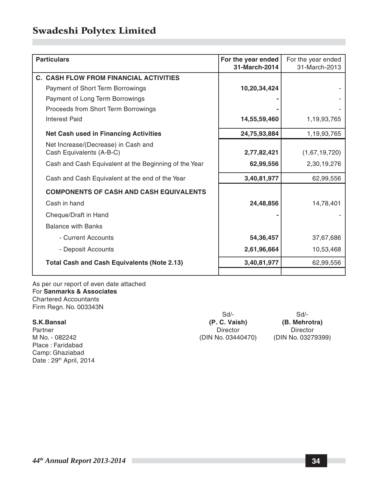| <b>Particulars</b>                                    | For the year ended<br>31-March-2014 | For the year ended<br>31-March-2013 |
|-------------------------------------------------------|-------------------------------------|-------------------------------------|
| <b>C. CASH FLOW FROM FINANCIAL ACTIVITIES</b>         |                                     |                                     |
| <b>Payment of Short Term Borrowings</b>               | 10,20,34,424                        |                                     |
| Payment of Long Term Borrowings                       |                                     |                                     |
| Proceeds from Short Term Borrowings                   |                                     |                                     |
| Interest Paid                                         | 14,55,59,460                        | 1,19,93,765                         |
| <b>Net Cash used in Financing Activities</b>          | 24,75,93,884                        | 1,19,93,765                         |
| Net Increase/(Decrease) in Cash and                   |                                     |                                     |
| Cash Equivalents (A-B-C)                              | 2,77,82,421                         | (1,67,19,720)                       |
| Cash and Cash Equivalent at the Beginning of the Year | 62,99,556                           | 2,30,19,276                         |
| Cash and Cash Equivalent at the end of the Year       | 3,40,81,977                         | 62,99,556                           |
| <b>COMPONENTS OF CASH AND CASH EQUIVALENTS</b>        |                                     |                                     |
| Cash in hand                                          | 24,48,856                           | 14,78,401                           |
| Cheque/Draft in Hand                                  |                                     |                                     |
| <b>Balance with Banks</b>                             |                                     |                                     |
| - Current Accounts                                    | 54,36,457                           | 37,67,686                           |
| - Deposit Accounts                                    | 2,61,96,664                         | 10,53,468                           |
| Total Cash and Cash Equivalents (Note 2.13)           | 3,40,81,977                         | 62,99,556                           |
|                                                       |                                     |                                     |

As per our report of even date attached For **Sanmarks & Associates** Chartered Accountants Firm Regn. No. 003343N

Place : Faridabad Camp: Ghaziabad Date: 29th April, 2014

Sd/- Sd/- **S.K.Bansal (P. C. Vaish) (B. Mehrotra)** Partner Director Director Director Director Director Director Director Director M No. - 082242 (DIN No. 03440470) (DIN No. 03279399)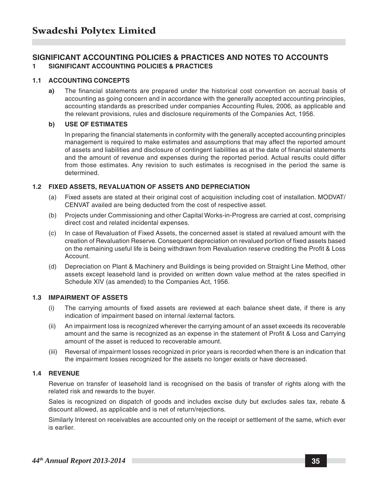#### **SIGNIFICANT ACCOUNTING POLICIES & PRACTICES AND NOTES TO ACCOUNTS 1 SIGNIFICANT ACCOUNTING POLICIES & PRACTICES**

#### **1.1 ACCOUNTING CONCEPTS**

**a)** The financial statements are prepared under the historical cost convention on accrual basis of accounting as going concern and in accordance with the generally accepted accounting principles, accounting standards as prescribed under companies Accounting Rules, 2006, as applicable and the relevant provisions, rules and disclosure requirements of the Companies Act, 1956.

#### **b) USE OF ESTIMATES**

In preparing the financial statements in conformity with the generally accepted accounting principles management is required to make estimates and assumptions that may affect the reported amount of assets and liabilities and disclosure of contingent liabilities as at the date of financial statements and the amount of revenue and expenses during the reported period. Actual results could differ from those estimates. Any revision to such estimates is recognised in the period the same is determined.

#### **1.2 FIXED ASSETS, REVALUATION OF ASSETS AND DEPRECIATION**

- (a) Fixed assets are stated at their original cost of acquisition including cost of installation. MODVAT/ CENVAT availed are being deducted from the cost of respective asset.
- (b) Projects under Commissioning and other Capital Works-in-Progress are carried at cost, comprising direct cost and related incidental expenses.
- (c) In case of Revaluation of Fixed Assets, the concerned asset is stated at revalued amount with the creation of Revaluation Reserve. Consequent depreciation on revalued portion of fixed assets based on the remaining useful life is being withdrawn from Revaluation reserve crediting the Profit & Loss Account.
- (d) Depreciation on Plant & Machinery and Buildings is being provided on Straight Line Method, other assets except leasehold land is provided on written down value method at the rates specified in Schedule XIV (as amended) to the Companies Act, 1956.

#### **1.3 IMPAIRMENT OF ASSETS**

- (i) The carrying amounts of fixed assets are reviewed at each balance sheet date, if there is any indication of impairment based on internal /external factors.
- (ii) An impairment loss is recognized wherever the carrying amount of an asset exceeds its recoverable amount and the same is recognized as an expense in the statement of Profit & Loss and Carrying amount of the asset is reduced to recoverable amount.
- (iii) Reversal of impairment losses recognized in prior years is recorded when there is an indication that the impairment losses recognized for the assets no longer exists or have decreased.

#### **1.4 REVENUE**

Revenue on transfer of leasehold land is recognised on the basis of transfer of rights along with the related risk and rewards to the buyer.

Sales is recognized on dispatch of goods and includes excise duty but excludes sales tax, rebate & discount allowed, as applicable and is net of return/rejections.

Similarly Interest on receivables are accounted only on the receipt or settlement of the same, which ever is earlier.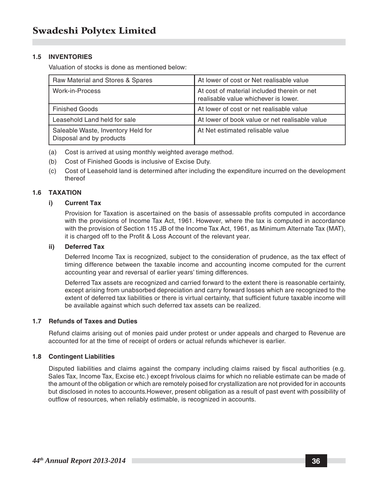#### **1.5 INVENTORIES**

Valuation of stocks is done as mentioned below:

| Raw Material and Stores & Spares                               | At lower of cost or Net realisable value                                            |
|----------------------------------------------------------------|-------------------------------------------------------------------------------------|
| Work-in-Process                                                | At cost of material included therein or net<br>realisable value whichever is lower. |
| <b>Finished Goods</b>                                          | At lower of cost or net realisable value                                            |
| Leasehold Land held for sale                                   | At lower of book value or net realisable value                                      |
| Saleable Waste, Inventory Held for<br>Disposal and by products | At Net estimated relisable value                                                    |

- (a) Cost is arrived at using monthly weighted average method.
- (b) Cost of Finished Goods is inclusive of Excise Duty.
- (c) Cost of Leasehold land is determined after including the expenditure incurred on the development thereof

#### **1.6 TAXATION**

#### **i) Current Tax**

Provision for Taxation is ascertained on the basis of assessable profits computed in accordance with the provisions of Income Tax Act, 1961. However, where the tax is computed in accordance with the provision of Section 115 JB of the Income Tax Act, 1961, as Minimum Alternate Tax (MAT), it is charged off to the Profit & Loss Account of the relevant year.

#### **ii) Deferred Tax**

Deferred Income Tax is recognized, subject to the consideration of prudence, as the tax effect of timing difference between the taxable income and accounting income computed for the current accounting year and reversal of earlier years' timing differences.

Deferred Tax assets are recognized and carried forward to the extent there is reasonable certainty, except arising from unabsorbed depreciation and carry forward losses which are recognized to the extent of deferred tax liabilities or there is virtual certainty, that sufficient future taxable income will be available against which such deferred tax assets can be realized.

#### **1.7 Refunds of Taxes and Duties**

Refund claims arising out of monies paid under protest or under appeals and charged to Revenue are accounted for at the time of receipt of orders or actual refunds whichever is earlier.

#### **1.8 Contingent Liabilities**

Disputed liabilities and claims against the company including claims raised by fiscal authorities (e.g. Sales Tax, Income Tax, Excise etc.) except frivolous claims for which no reliable estimate can be made of the amount of the obligation or which are remotely poised for crystallization are not provided for in accounts but disclosed in notes to accounts.However, present obligation as a result of past event with possibility of outflow of resources, when reliably estimable, is recognized in accounts.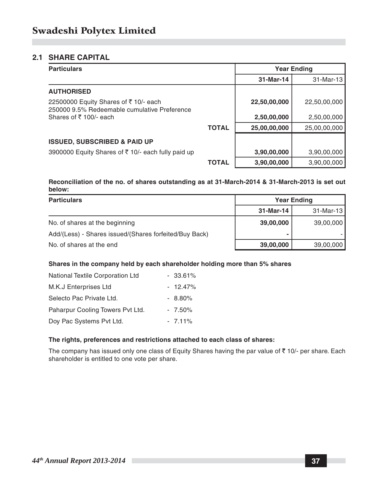#### **2.1 SHARE CAPITAL**

| <b>Particulars</b>                                                                   |              | <b>Year Ending</b> |              |
|--------------------------------------------------------------------------------------|--------------|--------------------|--------------|
|                                                                                      |              | 31-Mar-14          | 31-Mar-13    |
| <b>AUTHORISED</b>                                                                    |              |                    |              |
| 22500000 Equity Shares of ₹10/- each<br>250000 9.5% Redeemable cumulative Preference |              | 22,50,00,000       | 22,50,00,000 |
| Shares of ₹100/- each                                                                |              | 2,50,00,000        | 2,50,00,000  |
|                                                                                      | <b>TOTAL</b> | 25,00,00,000       | 25,00,00,000 |
| <b>ISSUED, SUBSCRIBED &amp; PAID UP</b>                                              |              |                    |              |
| 3900000 Equity Shares of ₹10/- each fully paid up                                    |              | 3,90,00,000        | 3,90,00,000  |
|                                                                                      | TOTAL        | 3,90,00,000        | 3,90,00,000  |

#### **Reconciliation of the no. of shares outstanding as at 31-March-2014 & 31-March-2013 is set out below:**

| <b>Particulars</b>                                     | <b>Year Ending</b> |              |
|--------------------------------------------------------|--------------------|--------------|
|                                                        | 31-Mar-14          | $31$ -Mar-13 |
| No. of shares at the beginning                         | 39,00,000          | 39,00,000    |
| Add/(Less) - Shares issued/(Shares forfeited/Buy Back) | ۰                  |              |
| No. of shares at the end                               | 39,00,000          | 39,00,000    |

#### **Shares in the company held by each shareholder holding more than 5% shares**

| National Textile Corporation Ltd | $-33.61\%$ |
|----------------------------------|------------|
| M.K.J Enterprises Ltd            | $-12.47\%$ |
| Selecto Pac Private Ltd.         | $-8.80\%$  |
| Paharpur Cooling Towers Pvt Ltd. | $-7.50\%$  |
| Doy Pac Systems Pvt Ltd.         | $-7.11\%$  |

#### **The rights, preferences and restrictions attached to each class of shares:**

The company has issued only one class of Equity Shares having the par value of  $\bar{\tau}$  10/- per share. Each shareholder is entitled to one vote per share.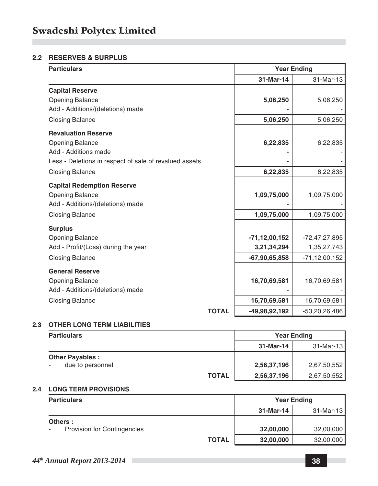#### **2.2 RESERVES & SURPLUS**

| <b>Particulars</b>                                                                                                                     |              | <b>Year Ending</b>                                   |                                                    |
|----------------------------------------------------------------------------------------------------------------------------------------|--------------|------------------------------------------------------|----------------------------------------------------|
|                                                                                                                                        |              | 31-Mar-14                                            | 31-Mar-13                                          |
| <b>Capital Reserve</b><br><b>Opening Balance</b><br>Add - Additions/(deletions) made                                                   |              | 5,06,250                                             | 5,06,250                                           |
| <b>Closing Balance</b>                                                                                                                 |              | 5,06,250                                             | 5,06,250                                           |
| <b>Revaluation Reserve</b><br><b>Opening Balance</b><br>Add - Additions made<br>Less - Deletions in respect of sale of revalued assets |              | 6,22,835                                             | 6,22,835                                           |
| <b>Closing Balance</b>                                                                                                                 |              | 6,22,835                                             | 6,22,835                                           |
| <b>Capital Redemption Reserve</b><br><b>Opening Balance</b><br>Add - Additions/(deletions) made<br><b>Closing Balance</b>              |              | 1,09,75,000<br>1,09,75,000                           | 1,09,75,000<br>1,09,75,000                         |
| <b>Surplus</b><br><b>Opening Balance</b><br>Add - Profit/(Loss) during the year<br><b>Closing Balance</b>                              |              | $-71, 12, 00, 152$<br>3,21,34,294<br>$-67,90,65,858$ | -72,47,27,895<br>1,35,27,743<br>$-71, 12, 00, 152$ |
| <b>General Reserve</b><br><b>Opening Balance</b><br>Add - Additions/(deletions) made<br><b>Closing Balance</b>                         |              | 16,70,69,581<br>16,70,69,581                         | 16,70,69,581<br>16,70,69,581                       |
|                                                                                                                                        | <b>TOTAL</b> | -49,98,92,192                                        | $-53,20,26,486$                                    |

#### **2.3 OTHER LONG TERM LIABILITIES**

| <b>Particulars</b>     |              | <b>Year Ending</b> |             |
|------------------------|--------------|--------------------|-------------|
|                        |              | 31-Mar-14          | 31-Mar-13   |
| <b>Other Payables:</b> |              |                    |             |
| due to personnel       |              | 2,56,37,196        | 2,67,50,552 |
|                        | <b>TOTAL</b> | 2,56,37,196        | 2,67,50,552 |

#### **2.4 LONG TERM PROVISIONS**

| <b>Particulars</b>                                  |              | <b>Year Ending</b> |           |
|-----------------------------------------------------|--------------|--------------------|-----------|
|                                                     |              | 31-Mar-14          | 31-Mar-13 |
| Others :<br><b>Provision for Contingencies</b><br>٠ |              | 32,00,000          | 32,00,000 |
|                                                     | <b>TOTAL</b> | 32,00,000          | 32,00,000 |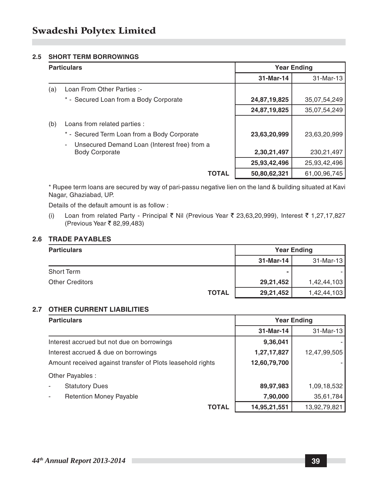#### **2.5 SHORT TERM BORROWINGS**

| <b>Particulars</b> |                                                   |              | <b>Year Ending</b> |
|--------------------|---------------------------------------------------|--------------|--------------------|
|                    |                                                   | 31-Mar-14    | 31-Mar-13          |
| (a)                | Loan From Other Parties :-                        |              |                    |
|                    | * - Secured Loan from a Body Corporate            | 24,87,19,825 | 35,07,54,249       |
|                    |                                                   | 24,87,19,825 | 35,07,54,249       |
| (b)                | Loans from related parties :                      |              |                    |
|                    | * - Secured Term Loan from a Body Corporate       | 23,63,20,999 | 23,63,20,999       |
|                    | Unsecured Demand Loan (Interest free) from a<br>- |              |                    |
|                    | <b>Body Corporate</b>                             | 2,30,21,497  | 230, 21, 497       |
|                    |                                                   | 25,93,42,496 | 25,93,42,496       |
|                    | <b>TOTAL</b>                                      | 50,80,62,321 | 61,00,96,745       |

\* Rupee term loans are secured by way of pari-passu negative lien on the land & building situated at Kavi Nagar, Ghaziabad, UP.

Details of the default amount is as follow :

(i) Loan from related Party - Principal ₹ Nil (Previous Year ₹ 23,63,20,999), Interest ₹ 1,27,17,827 (Previous Year ₹ 82,99,483)

#### **2.6 TRADE PAYABLES**

| <b>Particulars</b>     |              | <b>Year Ending</b> |              |
|------------------------|--------------|--------------------|--------------|
|                        |              | 31-Mar-14          | $31$ -Mar-13 |
| Short Term             |              | ۰                  |              |
| <b>Other Creditors</b> |              | 29,21,452          | 1,42,44,103  |
|                        | <b>TOTAL</b> | 29,21,452          | 1,42,44,103  |

#### **2.7 OTHER CURRENT LIABILITIES**

| <b>Particulars</b>                                         | <b>Year Ending</b> |              |
|------------------------------------------------------------|--------------------|--------------|
|                                                            | 31-Mar-14          | 31-Mar-13    |
| Interest accrued but not due on borrowings                 | 9,36,041           |              |
| Interest accrued & due on borrowings                       | 1,27,17,827        | 12,47,99,505 |
| Amount received against transfer of Plots leasehold rights | 12,60,79,700       |              |
| Other Payables :                                           |                    |              |
| <b>Statutory Dues</b>                                      | 89,97,983          | 1,09,18,532  |
| <b>Retention Money Payable</b>                             | 7,90,000           | 35,61,784    |
| <b>TOTAL</b>                                               | 14,95,21,551       | 13,92,79,821 |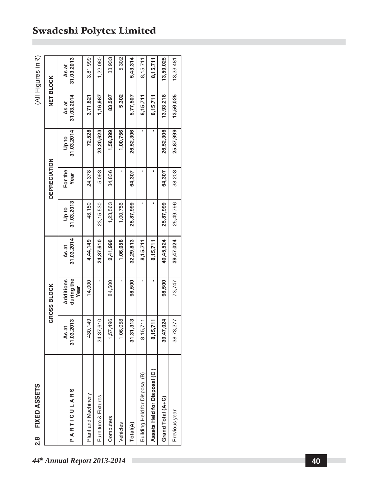| Ŋ<br>г<br>٧ |  |
|-------------|--|

| As at<br>31.03.2013<br><b>NET BLOCK</b><br>5,302<br>As at<br>31.03.2014<br>1,16,987<br>3,71,621<br>83,597<br>5,77,507<br>8,15,711<br>8,15,711<br>72,528<br>1,58,399<br>1,00,756<br>26,52,306<br>٠<br>$\begin{bmatrix} 1 & 1 & 1 & 1 \\ 0 & 1 & 0 & 0 \\ 0 & 0 & 0 & 0 \\ 0 & 0 & 0 & 0 \\ 0 & 0 & 0 & 0 \\ 0 & 0 & 0 & 0 \\ 0 & 0 & 0 & 0 \\ 0 & 0 & 0 & 0 \\ 0 & 0 & 0 & 0 \\ 0 & 0 & 0 & 0 \\ 0 & 0 & 0 & 0 \\ 0 & 0 & 0 & 0 \\ 0 & 0 & 0 & 0 \\ 0 & 0 & 0 & 0 & 0 \\ 0 & 0 & 0 & 0 & 0 \\ 0 & 0 & 0 & 0 & 0 \\ 0 & 0 & 0 & 0 & $<br>23,20,623<br><b>DEPRECIATION</b><br>For the<br>×<br>$\blacksquare$<br>$\blacksquare$<br>24,378<br>5,093<br>34,836<br>64,307<br>Year<br>$\begin{bmatrix}$ Up to $\end{bmatrix}$<br>31.03.2013<br>$\blacksquare$<br>1,23,563<br>48,150<br>23, 15, 530<br>1,00,756<br>25,87,999<br>$\begin{array}{c}\n\text{As at} \\ 31.03.2014\n\end{array}$<br>2,41,996<br>32,29,813<br>24,37,610<br>4,44,149<br>1,06,058<br>8,15,711<br>8,15,711<br>during the<br>Additions<br>٠<br>14,000<br>84,500<br>98,500<br><b>GROSS BLOCK</b><br>Year<br>24,37,610<br>1,57,496<br>430,149<br>1,06,058<br>As at<br>31.03.2013<br>31,31,313<br>8,15,711<br>8,15,711<br>Assets Held for Disposal (C)<br>sal (B)<br>ARTICULARS<br>Building Held for Dispo<br>Plant and Machinery<br>Furniture & Fixtures<br>Computers<br>Vehicles<br>Total(A)<br>d. |
|----------------------------------------------------------------------------------------------------------------------------------------------------------------------------------------------------------------------------------------------------------------------------------------------------------------------------------------------------------------------------------------------------------------------------------------------------------------------------------------------------------------------------------------------------------------------------------------------------------------------------------------------------------------------------------------------------------------------------------------------------------------------------------------------------------------------------------------------------------------------------------------------------------------------------------------------------------------------------------------------------------------------------------------------------------------------------------------------------------------------------------------------------------------------------------------------------------------------------------------------------------------------------------------------------------------------------------------------------------------|
|                                                                                                                                                                                                                                                                                                                                                                                                                                                                                                                                                                                                                                                                                                                                                                                                                                                                                                                                                                                                                                                                                                                                                                                                                                                                                                                                                                |
|                                                                                                                                                                                                                                                                                                                                                                                                                                                                                                                                                                                                                                                                                                                                                                                                                                                                                                                                                                                                                                                                                                                                                                                                                                                                                                                                                                |
|                                                                                                                                                                                                                                                                                                                                                                                                                                                                                                                                                                                                                                                                                                                                                                                                                                                                                                                                                                                                                                                                                                                                                                                                                                                                                                                                                                |
|                                                                                                                                                                                                                                                                                                                                                                                                                                                                                                                                                                                                                                                                                                                                                                                                                                                                                                                                                                                                                                                                                                                                                                                                                                                                                                                                                                |
|                                                                                                                                                                                                                                                                                                                                                                                                                                                                                                                                                                                                                                                                                                                                                                                                                                                                                                                                                                                                                                                                                                                                                                                                                                                                                                                                                                |
|                                                                                                                                                                                                                                                                                                                                                                                                                                                                                                                                                                                                                                                                                                                                                                                                                                                                                                                                                                                                                                                                                                                                                                                                                                                                                                                                                                |
|                                                                                                                                                                                                                                                                                                                                                                                                                                                                                                                                                                                                                                                                                                                                                                                                                                                                                                                                                                                                                                                                                                                                                                                                                                                                                                                                                                |
|                                                                                                                                                                                                                                                                                                                                                                                                                                                                                                                                                                                                                                                                                                                                                                                                                                                                                                                                                                                                                                                                                                                                                                                                                                                                                                                                                                |
|                                                                                                                                                                                                                                                                                                                                                                                                                                                                                                                                                                                                                                                                                                                                                                                                                                                                                                                                                                                                                                                                                                                                                                                                                                                                                                                                                                |
| 13,59,025<br>13,93,218<br>26,52,306<br>64,307<br>25,87,999<br>40,45,524<br>98,500<br>39,47,024<br>Grand Total (A+C)                                                                                                                                                                                                                                                                                                                                                                                                                                                                                                                                                                                                                                                                                                                                                                                                                                                                                                                                                                                                                                                                                                                                                                                                                                            |
| 13,23,481<br>13,59,025<br>25,87,999<br>38,203<br>25,49,796<br>39,47,024<br>73,747<br>38,73,277<br>Previous year                                                                                                                                                                                                                                                                                                                                                                                                                                                                                                                                                                                                                                                                                                                                                                                                                                                                                                                                                                                                                                                                                                                                                                                                                                                |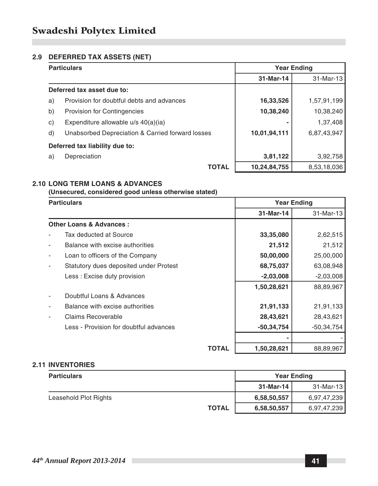#### **2.9 DEFERRED TAX ASSETS (NET)**

|    | <b>Particulars</b>                               |              | <b>Year Ending</b> |  |
|----|--------------------------------------------------|--------------|--------------------|--|
|    |                                                  | 31-Mar-14    | 31-Mar-13          |  |
|    | Deferred tax asset due to:                       |              |                    |  |
| a) | Provision for doubtful debts and advances        | 16,33,526    | 1,57,91,199        |  |
| b) | <b>Provision for Contingencies</b>               | 10,38,240    | 10,38,240          |  |
| c) | Expenditure allowable u/s 40(a)(ia)              |              | 1,37,408           |  |
| d) | Unabsorbed Depreciation & Carried forward losses | 10,01,94,111 | 6,87,43,947        |  |
|    | Deferred tax liability due to:                   |              |                    |  |
| a) | Depreciation                                     | 3,81,122     | 3,92,758           |  |
|    | <b>TOTAL</b>                                     | 10,24,84,755 | 8,53,18,036        |  |

#### **2.10 LONG TERM LOANS & ADVANCES**

**(Unsecured, considered good unless otherwise stated)**

| <b>Particulars</b> |                                        |       | <b>Year Ending</b> |              |
|--------------------|----------------------------------------|-------|--------------------|--------------|
|                    |                                        |       | 31-Mar-14          | 31-Mar-13    |
|                    | <b>Other Loans &amp; Advances:</b>     |       |                    |              |
|                    | Tax deducted at Source                 |       | 33,35,080          | 2,62,515     |
|                    | Balance with excise authorities        |       | 21,512             | 21,512       |
|                    | Loan to officers of the Company        |       | 50,00,000          | 25,00,000    |
|                    | Statutory dues deposited under Protest |       | 68,75,037          | 63,08,948    |
|                    | Less: Excise duty provision            |       | $-2,03,008$        | $-2,03,008$  |
|                    |                                        |       | 1,50,28,621        | 88,89,967    |
|                    | Doubtful Loans & Advances              |       |                    |              |
|                    | Balance with excise authorities        |       | 21,91,133          | 21,91,133    |
|                    | Claims Recoverable                     |       | 28,43,621          | 28,43,621    |
|                    | Less - Provision for doubtful advances |       | $-50,34,754$       | $-50,34,754$ |
|                    |                                        |       |                    |              |
|                    |                                        | TOTAL | 1,50,28,621        | 88,89,967    |

#### **2.11 INVENTORIES**

| <b>Particulars</b>    |              | <b>Year Ending</b> |             |
|-----------------------|--------------|--------------------|-------------|
|                       |              | 31-Mar-14          | 31-Mar-13   |
| Leasehold Plot Rights |              | 6,58,50,557        | 6,97,47,239 |
|                       | <b>TOTAL</b> | 6,58,50,557        | 6,97,47,239 |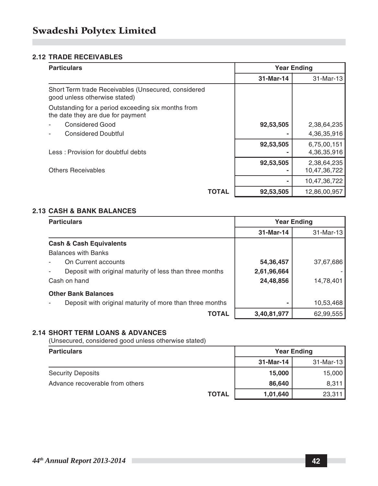#### **2.12 TRADE RECEIVABLES**

| <b>Particulars</b>                                                                      | <b>Year Ending</b> |                             |
|-----------------------------------------------------------------------------------------|--------------------|-----------------------------|
|                                                                                         | 31-Mar-14          | 31-Mar-13                   |
| Short Term trade Receivables (Unsecured, considered<br>good unless otherwise stated)    |                    |                             |
| Outstanding for a period exceeding six months from<br>the date they are due for payment |                    |                             |
| Considered Good                                                                         | 92,53,505          | 2,38,64,235                 |
| <b>Considered Doubtful</b>                                                              |                    | 4,36,35,916                 |
| Less: Provision for doubtful debts                                                      | 92,53,505          | 6,75,00,151<br>4,36,35,916  |
| <b>Others Receivables</b>                                                               | 92,53,505          | 2,38,64,235<br>10,47,36,722 |
|                                                                                         |                    | 10,47,36,722                |
| TOTAL                                                                                   | 92,53,505          | 12,86,00,957                |

#### **2.13 CASH & BANK BALANCES**

| <b>Particulars</b>                                       |             | <b>Year Ending</b> |
|----------------------------------------------------------|-------------|--------------------|
|                                                          | 31-Mar-14   | 31-Mar-13          |
| <b>Cash &amp; Cash Equivalents</b>                       |             |                    |
| <b>Balances with Banks</b>                               |             |                    |
| On Current accounts                                      | 54,36,457   | 37,67,686          |
| Deposit with original maturity of less than three months | 2,61,96,664 |                    |
| Cash on hand                                             | 24,48,856   | 14,78,401          |
| <b>Other Bank Balances</b>                               |             |                    |
| Deposit with original maturity of more than three months |             | 10,53,468          |
| TOTAL                                                    | 3,40,81,977 | 62,99,555          |

#### **2.14 SHORT TERM LOANS & ADVANCES**

(Unsecured, considered good unless otherwise stated)

| <b>Particulars</b>              |              | <b>Year Ending</b> |           |
|---------------------------------|--------------|--------------------|-----------|
|                                 |              | 31-Mar-14          | 31-Mar-13 |
| <b>Security Deposits</b>        |              | 15,000             | 15,000    |
| Advance recoverable from others |              | 86.640             | 8,311     |
|                                 | <b>TOTAL</b> | 1,01,640           | 23,311    |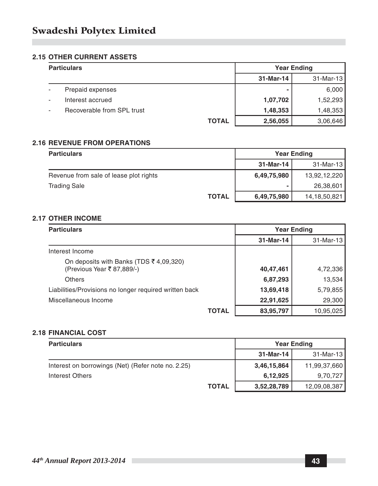#### **2.15 OTHER CURRENT ASSETS**

| <b>Particulars</b>         |              | <b>Year Ending</b> |              |
|----------------------------|--------------|--------------------|--------------|
|                            |              | 31-Mar-14          | $31$ -Mar-13 |
| Prepaid expenses           |              | ۰                  | 6,000        |
| Interest accrued           |              | 1,07,702           | 1,52,293     |
| Recoverable from SPL trust |              | 1,48,353           | 1,48,353     |
|                            | <b>TOTAL</b> | 2,56,055           | 3,06,646     |

#### **2.16 REVENUE FROM OPERATIONS**

| <b>Particulars</b>                     |              | <b>Year Ending</b> |                 |
|----------------------------------------|--------------|--------------------|-----------------|
|                                        |              | 31-Mar-14          | 31-Mar-13       |
| Revenue from sale of lease plot rights |              | 6,49,75,980        | 13,92,12,220    |
| <b>Trading Sale</b>                    |              |                    | 26,38,601       |
|                                        | <b>TOTAL</b> | 6,49,75,980        | 14, 18, 50, 821 |

#### **2.17 OTHER INCOME**

| <b>Particulars</b>                                                   |       | <b>Year Ending</b> |           |
|----------------------------------------------------------------------|-------|--------------------|-----------|
|                                                                      |       | 31-Mar-14          | 31-Mar-13 |
| Interest Income                                                      |       |                    |           |
| On deposits with Banks (TDS ₹ 4,09,320)<br>(Previous Year ₹87,889/-) |       | 40,47,461          | 4,72,336  |
| Others                                                               |       | 6,87,293           | 13,534    |
| Liabilities/Provisions no longer required written back               |       | 13,69,418          | 5,79,855  |
| Miscellaneous Income                                                 |       | 22,91,625          | 29,300    |
|                                                                      | TOTAL | 83,95,797          | 10,95,025 |

#### **2.18 FINANCIAL COST**

| <b>Particulars</b>                                 |              | <b>Year Ending</b> |              |
|----------------------------------------------------|--------------|--------------------|--------------|
|                                                    |              | 31-Mar-14          | 31-Mar-13    |
| Interest on borrowings (Net) (Refer note no. 2.25) |              | 3,46,15,864        | 11,99,37,660 |
| Interest Others                                    |              | 6,12,925           | 9,70,727     |
|                                                    | <b>TOTAL</b> | 3,52,28,789        | 12,09,08,387 |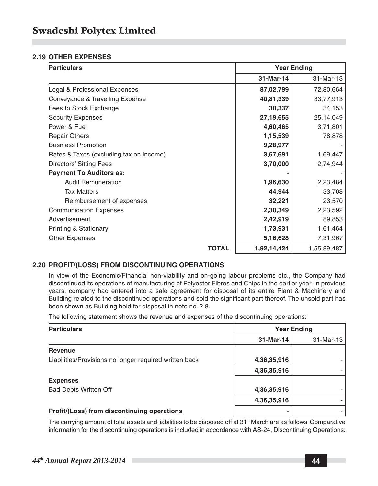#### **2.19 OTHER EXPENSES**

| <b>Particulars</b>                      |              | <b>Year Ending</b> |             |
|-----------------------------------------|--------------|--------------------|-------------|
|                                         |              | 31-Mar-14          | 31-Mar-13   |
| Legal & Professional Expenses           |              | 87,02,799          | 72,80,664   |
| Conveyance & Travelling Expense         |              | 40,81,339          | 33,77,913   |
| Fees to Stock Exchange                  |              | 30,337             | 34,153      |
| <b>Security Expenses</b>                |              | 27,19,655          | 25,14,049   |
| Power & Fuel                            |              | 4,60,465           | 3,71,801    |
| <b>Repair Others</b>                    |              | 1,15,539           | 78,878      |
| <b>Busniess Promotion</b>               |              | 9,28,977           |             |
| Rates & Taxes (excluding tax on income) |              | 3,67,691           | 1,69,447    |
| Directors' Sitting Fees                 |              | 3,70,000           | 2,74,944    |
| <b>Payment To Auditors as:</b>          |              |                    |             |
| <b>Audit Remuneration</b>               |              | 1,96,630           | 2,23,484    |
| <b>Tax Matters</b>                      |              | 44,944             | 33,708      |
| Reimbursement of expenses               |              | 32,221             | 23,570      |
| <b>Communication Expenses</b>           |              | 2,30,349           | 2,23,592    |
| Advertisement                           |              | 2,42,919           | 89,853      |
| Printing & Stationary                   |              | 1,73,931           | 1,61,464    |
| Other Expenses                          |              | 5,16,628           | 7,31,967    |
|                                         | <b>TOTAL</b> | 1,92,14,424        | 1,55,89,487 |

#### **2.20 PROFIT/(LOSS) FROM DISCONTINUING OPERATIONS**

In view of the Economic/Financial non-viability and on-going labour problems etc., the Company had discontinued its operations of manufacturing of Polyester Fibres and Chips in the earlier year. In previous years, company had entered into a sale agreement for disposal of its entire Plant & Machinery and Building related to the discontinued operations and sold the significant part thereof. The unsold part has been shown as Building held for disposal in note no. 2.8.

The following statement shows the revenue and expenses of the discontinuing operations:

| <b>Particulars</b>                                     |             | <b>Year Ending</b> |
|--------------------------------------------------------|-------------|--------------------|
|                                                        | 31-Mar-14   | 31-Mar-13          |
| <b>Revenue</b>                                         |             |                    |
| Liabilities/Provisions no longer required written back | 4,36,35,916 |                    |
|                                                        | 4,36,35,916 |                    |
| <b>Expenses</b>                                        |             |                    |
| <b>Bad Debts Written Off</b>                           | 4,36,35,916 |                    |
|                                                        | 4,36,35,916 |                    |
| Profit/(Loss) from discontinuing operations            | ۰           |                    |

The carrying amount of total assets and liabilities to be disposed off at 31<sup>st</sup> March are as follows. Comparative information for the discontinuing operations is included in accordance with AS-24, Discontinuing Operations: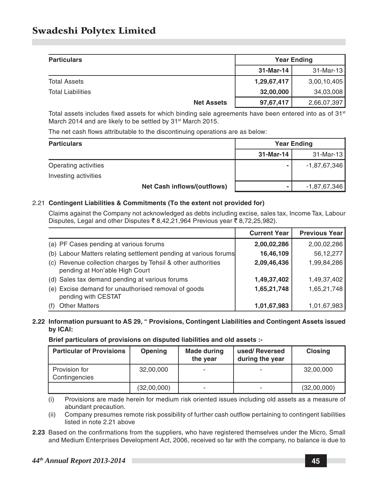| <b>Particulars</b>       |                   |             | <b>Year Ending</b> |
|--------------------------|-------------------|-------------|--------------------|
|                          |                   | 31-Mar-14   | $31$ -Mar-13       |
| <b>Total Assets</b>      |                   | 1,29,67,417 | 3,00,10,405        |
| <b>Total Liabilities</b> |                   | 32,00,000   | 34,03,008          |
|                          | <b>Net Assets</b> | 97,67,417   | 2,66,07,397        |

Total assets includes fixed assets for which binding sale agreements have been entered into as of  $31<sup>st</sup>$ March 2014 and are likely to be settled by 31<sup>st</sup> March 2015.

The net cash flows attributable to the discontinuing operations are as below:

| <b>Particulars</b>   | <b>Year Ending</b>                 |           |              |
|----------------------|------------------------------------|-----------|--------------|
|                      |                                    | 31-Mar-14 | $31$ -Mar-13 |
| Operating activities |                                    | ۰         | -1,87,67,346 |
| Investing activities |                                    |           |              |
|                      | <b>Net Cash inflows/(outflows)</b> |           | -1,87,67,346 |

#### 2.21 **Contingent Liabilities & Commitments (To the extent not provided for)**

Claims against the Company not acknowledged as debts including excise, sales tax, Income Tax, Labour Disputes, Legal and other Disputes  $\bar{\xi}$  8,42,21,964 Previous year  $\bar{\xi}$  8,72,25,982).

|                                                                                                | <b>Current Year</b> | <b>Previous Year</b> |
|------------------------------------------------------------------------------------------------|---------------------|----------------------|
| (a) PF Cases pending at various forums                                                         | 2,00,02,286         | 2,00,02,286          |
| (b) Labour Matters relating settlement pending at various forums                               | 16,46,109           | 56, 12, 277          |
| (c) Revenue collection charges by Tehsil & other authorities<br>pending at Hon'able High Court | 2,09,46,436         | 1,99,84,286          |
| (d) Sales tax demand pending at various forums                                                 | 1,49,37,402         | 1,49,37,402          |
| (e) Excise demand for unauthorised removal of goods<br>pending with CESTAT                     | 1,65,21,748         | 1,65,21,748          |
| <b>Other Matters</b>                                                                           | 1,01,67,983         | 1,01,67,983          |

#### **2.22 Information pursuant to AS 29, " Provisions, Contingent Liabilities and Contingent Assets issued by ICAI:**

**Brief particulars of provisions on disputed liabilities and old assets :-**

| <b>Particular of Provisions</b> | Opening     | Made during<br>the year | used/Reversed<br>during the year | <b>Closing</b> |
|---------------------------------|-------------|-------------------------|----------------------------------|----------------|
| Provision for<br>Contingencies  | 32,00,000   |                         |                                  | 32,00,000      |
|                                 | (32,00,000) |                         |                                  | (32,00,000)    |

(i) Provisions are made herein for medium risk oriented issues including old assets as a measure of abundant precaution.

(ii) Company presumes remote risk possibility of further cash outflow pertaining to contingent liabilities listed in note 2.21 above

**2.23** Based on the confirmations from the suppliers, who have registered themselves under the Micro, Small and Medium Enterprises Development Act, 2006, received so far with the company, no balance is due to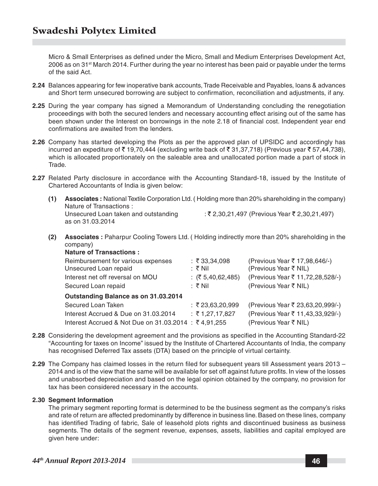Micro & Small Enterprises as defined under the Micro, Small and Medium Enterprises Development Act, 2006 as on 31<sup>st</sup> March 2014. Further during the year no interest has been paid or payable under the terms of the said Act.

- **2.24** Balances appearing for few inoperative bank accounts, Trade Receivable and Payables, loans & advances and Short term unsecured borrowing are subject to confirmation, reconciliation and adjustments, if any.
- **2.25** During the year company has signed a Memorandum of Understanding concluding the renegotiation proceedings with both the secured lenders and necessary accounting effect arising out of the same has been shown under the Interest on borrowings in the note 2.18 of financial cost. Independent year end confirmations are awaited from the lenders.
- **2.26** Company has started developing the Plots as per the approved plan of UPSIDC and accordingly has incurred an expediture of  $\bar{\tau}$  19,70,444 (excluding write back of  $\bar{\tau}$  31,37,718) (Previous year  $\bar{\tau}$  57,44,738), which is allocated proportionately on the saleable area and unallocated portion made a part of stock in Trade.
- **2.27** Related Party disclosure in accordance with the Accounting Standard-18, issued by the Institute of Chartered Accountants of India is given below:
	- **(1) Associates :** National Textile Corporation Ltd. ( Holding more than 20% shareholding in the company) Nature of Transactions : Unsecured Loan taken and outstanding  $\qquad \qquad : \xi$  2,30,21,497 (Previous Year  $\xi$  2,30,21,497) as on 31.03.2014
	- **(2) Associates :** Paharpur Cooling Towers Ltd. ( Holding indirectly more than 20% shareholding in the company) **Nature of Transactions :**

| <b>Nature Of Transactions.</b>                       |                         |                                  |
|------------------------------------------------------|-------------------------|----------------------------------|
| Reimbursement for various expenses                   | : ₹33,34,098            | (Previous Year ₹ 17,98,646/-)    |
| Unsecured Loan repaid                                | : ₹ Nil                 | (Previous Year ₹ NIL)            |
| Interest net off reversal on MOU                     | : $(2, 5, 40, 62, 485)$ | (Previous Year ₹ 11,72,28,528/-) |
| Secured Loan repaid                                  | :そ Nil                  | (Previous Year ₹ NIL)            |
| Outstanding Balance as on 31.03.2014                 |                         |                                  |
| Secured Loan Taken                                   | : ₹23,63,20,999         | (Previous Year ₹ 23,63,20,999/-) |
| Interest Accrued & Due on 31,03,2014                 | : ₹1,27,17,827          | (Previous Year ₹ 11,43,33,929/-) |
| Interest Accrued & Not Due on 31.03.2014 : ₹4.91.255 |                         | (Previous Year ₹ NIL)            |

- **2.28** Considering the development agreement and the provisions as specified in the Accounting Standard-22 "Accounting for taxes on Income" issued by the Institute of Chartered Accountants of India, the company has recognised Deferred Tax assets (DTA) based on the principle of virtual certainty.
- **2.29** The Company has claimed losses in the return filed for subsequent years till Assessment years 2013 2014 and is of the view that the same will be available for set off against future profits. In view of the losses and unabsorbed depreciation and based on the legal opinion obtained by the company, no provision for tax has been considered necessary in the accounts.

#### **2.30 Segment Information**

The primary segment reporting format is determined to be the business segment as the company's risks and rate of return are affected predominantly by difference in business line. Based on these lines, company has identified Trading of fabric, Sale of leasehold plots rights and discontinued business as business segments. The details of the segment revenue, expenses, assets, liabilities and capital employed are given here under: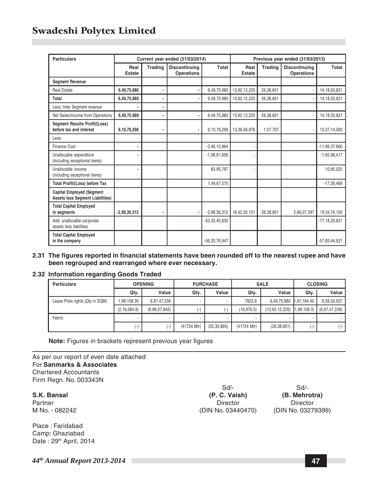| <b>Particulars</b>                                                          | Current year ended (31/03/2014) |                |                                    |                 |                | Previous year ended (31/03/2013) |                                           |                    |
|-----------------------------------------------------------------------------|---------------------------------|----------------|------------------------------------|-----------------|----------------|----------------------------------|-------------------------------------------|--------------------|
|                                                                             | Real<br><b>Estate</b>           | <b>Trading</b> | <b>Discontinuing</b><br>Operations | Total           | Real<br>Estate | Trading                          | <b>Discontinuing</b><br><b>Operations</b> | Total              |
| <b>Segment Revenue</b>                                                      |                                 |                |                                    |                 |                |                                  |                                           |                    |
| <b>Real Estate</b>                                                          | 6,49,75,980                     | ٠              |                                    | 6.49.75.980     | 13,92,12,220   | 26.38.601                        |                                           | 14.18.50.821       |
| Total                                                                       | 6,49,75,980                     |                |                                    | 6,49,75,980     | 13,92,12,220   | 26.38.601                        |                                           | 14, 18, 50, 821    |
| Less: Inter Segment revenue                                                 |                                 |                |                                    |                 |                |                                  |                                           |                    |
| Net Sales/Income from Operations                                            | 6,49,75,980                     | ٠              |                                    | 6,49,75,980     | 13,92,12,220   | 26,38,601                        |                                           | 14, 18, 50, 821    |
| <b>Segment Results Profit/(Loss)</b><br>before tax and interest             | 6,10,79,298                     |                |                                    | 6,10,79,298     | 13,36,06,876   | 1,07,707                         |                                           | 13,37,14,583       |
| Less:                                                                       |                                 |                |                                    |                 |                |                                  |                                           |                    |
| Finance Cost                                                                | ٠                               |                |                                    | $-3,46,15,864$  |                |                                  |                                           | $-11,99,37,660$    |
| Unallocable expenditure<br>(including exceptional items)                    |                                 |                |                                    | $-1,98,91,656$  |                |                                  |                                           | $-1,65,98,417$     |
| Unallocable income<br>(including exceptional items)                         |                                 |                |                                    | 83,95,797       |                |                                  |                                           | 10,95,025          |
| <b>Total Profit/(Loss) before Tax</b>                                       |                                 |                |                                    | 1,49,67,575     |                |                                  |                                           | $-17,26,469$       |
| <b>Capital Employed (Segment</b><br><b>Assets less Segment Liabilities)</b> |                                 |                |                                    |                 |                |                                  |                                           |                    |
| <b>Total Capital Employed</b><br>in segments                                | $-2,98,36,312$                  |                |                                    | $-2,98,36,312$  | 16,42,30,101   | 26,38,601                        | 2,66,07,397                               | 19,34,76,100       |
| Add: unallocable corporate<br>assets less liabilities                       |                                 |                |                                    | $-53,35,40,635$ |                |                                  |                                           | $-77, 18, 20, 621$ |
| <b>Total Capital Employed</b><br>in the company                             |                                 |                |                                    | $-56,33,76,947$ |                |                                  |                                           | $-57,83,44,521$    |

**2.31 The figures reported in financial statements have been rounded off to the nearest rupee and have been regrouped and rearranged where ever necessary.**

#### **2.32 Information regarding Goods Traded**

| <b>Particulars</b>              | <b>OPENING</b>         |                    | <b>PURCHASE</b> |               | <b>SALE</b> |                | <b>CLOSING</b> |               |
|---------------------------------|------------------------|--------------------|-----------------|---------------|-------------|----------------|----------------|---------------|
|                                 | Qty.                   | Value              | Qty.            | Value         | Qty.        | Value          | Qty.           | Value         |
| Lease Plots rights (Qty in SQM) | .99.108.30             | 6,97,47,239        |                 |               | 7923.9      | 6.49.75.980    | 1.91.184.40    | 6,58,50,557   |
|                                 | (2, 16, 084.8)         | (6,96,07,845)      | $-1$            | ٠.            | (16.976.5)  | (13,92,12,220) | 1.99.108.3)    | (6,97,47,239) |
| Fabric                          |                        | ٠                  | ۰               |               | ۰           |                |                |               |
|                                 | $\left( \cdot \right)$ | $(\textnormal{-})$ | (41724 Mtr)     | (25, 30, 895) | (41724 Mtr) | (26, 38, 601)  | $(-)$          | $(-)$         |

**Note:** Figures in brackets represent previous year figures

As per our report of even date attached For **Sanmarks & Associates** Chartered Accountants Firm Regn. No. 003343N

Place : Faridabad Camp: Ghaziabad Date: 29<sup>th</sup> April, 2014

Sd/- Sd/- **S.K. Bansal (P. C. Vaish) (B. Mehrotra)** Partner Director Director Director Director Director Director Director Director

M No. - 082242 (DIN No. 03440470) (DIN No. 03279399)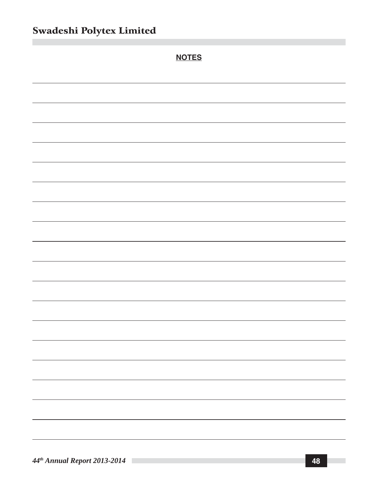| <b>NOTES</b> |
|--------------|
|              |
|              |
|              |
|              |
|              |
|              |
|              |
|              |
|              |
|              |
|              |
|              |
|              |
|              |
|              |
|              |
|              |
|              |
|              |
|              |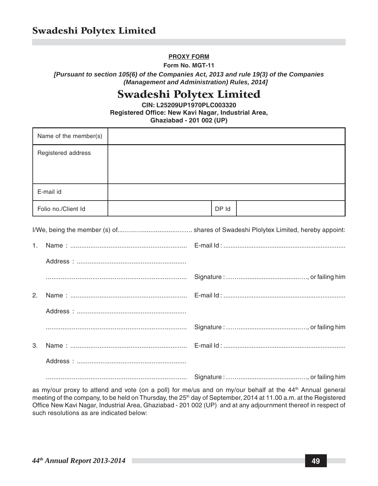#### **PROXY FORM**

**Form No. MGT-11**

*[Pursuant to section 105(6) of the Companies Act, 2013 and rule 19(3) of the Companies (Management and Administration) Rules, 2014]*

## Swadeshi Polytex Limited

**CIN: L25209UP1970PLC003320 Registered Office: New Kavi Nagar, Industrial Area, Ghaziabad - 201 002 (UP)**

| Name of the member(s) |       |  |
|-----------------------|-------|--|
| Registered address    |       |  |
| E-mail id             |       |  |
| Folio no./Client Id   | DP Id |  |

as my/our proxy to attend and vote (on a poll) for me/us and on my/our behalf at the 44<sup>th</sup> Annual general meeting of the company, to be held on Thursday, the 25<sup>th</sup> day of September, 2014 at 11.00 a.m. at the Registered Office New Kavi Nagar, Industrial Area, Ghaziabad - 201 002 (UP) and at any adjournment thereof in respect of such resolutions as are indicated below: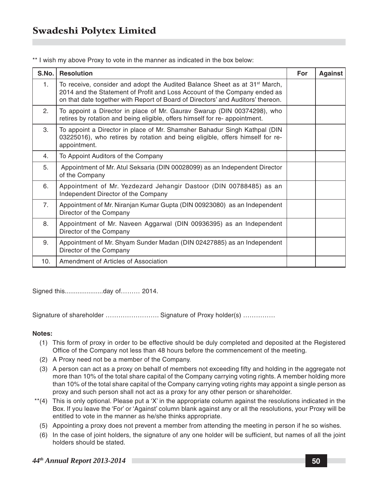\*\* I wish my above Proxy to vote in the manner as indicated in the box below:

| S.No.          | <b>Resolution</b>                                                                                                                                                                                                                                      | For | Against |
|----------------|--------------------------------------------------------------------------------------------------------------------------------------------------------------------------------------------------------------------------------------------------------|-----|---------|
| 1.             | To receive, consider and adopt the Audited Balance Sheet as at 31 <sup>st</sup> March,<br>2014 and the Statement of Profit and Loss Account of the Company ended as<br>on that date together with Report of Board of Directors' and Auditors' thereon. |     |         |
| 2.             | To appoint a Director in place of Mr. Gaurav Swarup (DIN 00374298), who<br>retires by rotation and being eligible, offers himself for re-appointment.                                                                                                  |     |         |
| 3.             | To appoint a Director in place of Mr. Shamsher Bahadur Singh Kathpal (DIN<br>03225016), who retires by rotation and being eligible, offers himself for re-<br>appointment.                                                                             |     |         |
| 4.             | To Appoint Auditors of the Company                                                                                                                                                                                                                     |     |         |
| 5.             | Appointment of Mr. Atul Seksaria (DIN 00028099) as an Independent Director<br>of the Company                                                                                                                                                           |     |         |
| 6.             | Appointment of Mr. Yezdezard Jehangir Dastoor (DIN 00788485) as an<br>Independent Director of the Company                                                                                                                                              |     |         |
| 7 <sub>1</sub> | Appointment of Mr. Niranjan Kumar Gupta (DIN 00923080) as an Independent<br>Director of the Company                                                                                                                                                    |     |         |
| 8.             | Appointment of Mr. Naveen Aggarwal (DIN 00936395) as an Independent<br>Director of the Company                                                                                                                                                         |     |         |
| 9.             | Appointment of Mr. Shyam Sunder Madan (DIN 02427885) as an Independent<br>Director of the Company                                                                                                                                                      |     |         |
| 10.            | Amendment of Articles of Association                                                                                                                                                                                                                   |     |         |

Signed this.....................day of……… 2014.

Signature of shareholder ……………………. Signature of Proxy holder(s) ……………

#### **Notes:**

- (1) This form of proxy in order to be effective should be duly completed and deposited at the Registered Office of the Company not less than 48 hours before the commencement of the meeting.
- (2) A Proxy need not be a member of the Company.
- (3) A person can act as a proxy on behalf of members not exceeding fifty and holding in the aggregate not more than 10% of the total share capital of the Company carrying voting rights. A member holding more than 10% of the total share capital of the Company carrying voting rights may appoint a single person as proxy and such person shall not act as a proxy for any other person or shareholder.
- \*\*(4) This is only optional. Please put a 'X' in the appropriate column against the resolutions indicated in the Box. If you leave the 'For' or 'Against' column blank against any or all the resolutions, your Proxy will be entitled to vote in the manner as he/she thinks appropriate.
	- (5) Appointing a proxy does not prevent a member from attending the meeting in person if he so wishes.
	- (6) In the case of joint holders, the signature of any one holder will be sufficient, but names of all the joint holders should be stated.